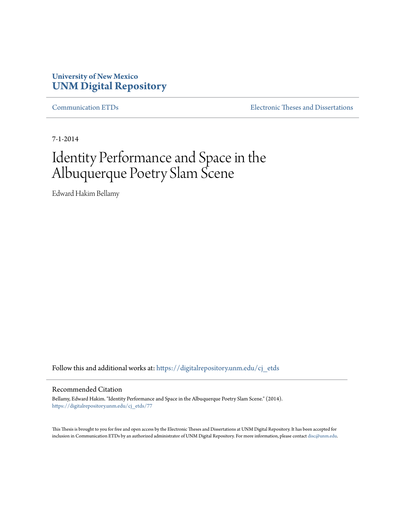# **University of New Mexico [UNM Digital Repository](https://digitalrepository.unm.edu?utm_source=digitalrepository.unm.edu%2Fcj_etds%2F77&utm_medium=PDF&utm_campaign=PDFCoverPages)**

[Communication ETDs](https://digitalrepository.unm.edu/cj_etds?utm_source=digitalrepository.unm.edu%2Fcj_etds%2F77&utm_medium=PDF&utm_campaign=PDFCoverPages) [Electronic Theses and Dissertations](https://digitalrepository.unm.edu/etds?utm_source=digitalrepository.unm.edu%2Fcj_etds%2F77&utm_medium=PDF&utm_campaign=PDFCoverPages)

7-1-2014

# Identity Performance and Space in the Albuquerque Poetry Slam Scene

Edward Hakim Bellamy

Follow this and additional works at: [https://digitalrepository.unm.edu/cj\\_etds](https://digitalrepository.unm.edu/cj_etds?utm_source=digitalrepository.unm.edu%2Fcj_etds%2F77&utm_medium=PDF&utm_campaign=PDFCoverPages)

#### Recommended Citation

Bellamy, Edward Hakim. "Identity Performance and Space in the Albuquerque Poetry Slam Scene." (2014). [https://digitalrepository.unm.edu/cj\\_etds/77](https://digitalrepository.unm.edu/cj_etds/77?utm_source=digitalrepository.unm.edu%2Fcj_etds%2F77&utm_medium=PDF&utm_campaign=PDFCoverPages)

This Thesis is brought to you for free and open access by the Electronic Theses and Dissertations at UNM Digital Repository. It has been accepted for inclusion in Communication ETDs by an authorized administrator of UNM Digital Repository. For more information, please contact [disc@unm.edu.](mailto:disc@unm.edu)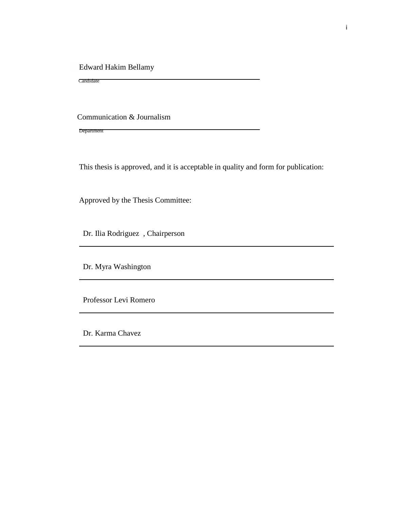Edward Hakim Bellamy

Candidate

Communication & Journalism

Department

This thesis is approved, and it is acceptable in quality and form for publication:

Approved by the Thesis Committee:

Dr. Ilia Rodriguez , Chairperson

Dr. Myra Washington

Professor Levi Romero

Dr. Karma Chavez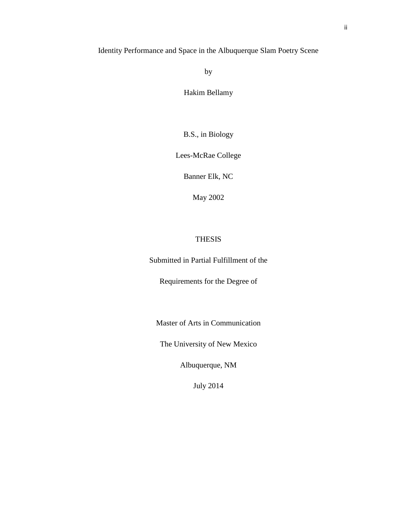# Identity Performance and Space in the Albuquerque Slam Poetry Scene

by

Hakim Bellamy

B.S., in Biology

Lees-McRae College

Banner Elk, NC

May 2002

# THESIS

Submitted in Partial Fulfillment of the

Requirements for the Degree of

Master of Arts in Communication

The University of New Mexico

Albuquerque, NM

July 2014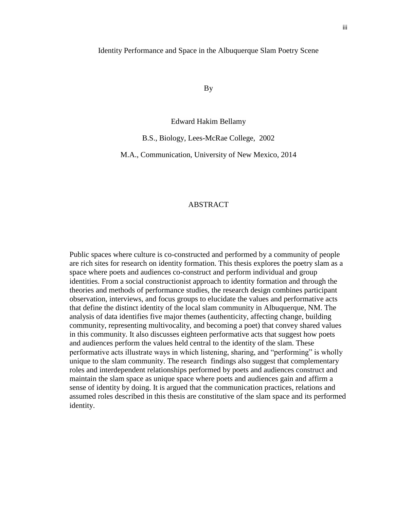#### Identity Performance and Space in the Albuquerque Slam Poetry Scene

By

Edward Hakim Bellamy

B.S., Biology, Lees-McRae College, 2002

M.A., Communication, University of New Mexico, 2014

# ABSTRACT

Public spaces where culture is co-constructed and performed by a community of people are rich sites for research on identity formation. This thesis explores the poetry slam as a space where poets and audiences co-construct and perform individual and group identities. From a social constructionist approach to identity formation and through the theories and methods of performance studies, the research design combines participant observation, interviews, and focus groups to elucidate the values and performative acts that define the distinct identity of the local slam community in Albuquerque, NM. The analysis of data identifies five major themes (authenticity, affecting change, building community, representing multivocality, and becoming a poet) that convey shared values in this community. It also discusses eighteen performative acts that suggest how poets and audiences perform the values held central to the identity of the slam. These performative acts illustrate ways in which listening, sharing, and "performing" is wholly unique to the slam community. The research findings also suggest that complementary roles and interdependent relationships performed by poets and audiences construct and maintain the slam space as unique space where poets and audiences gain and affirm a sense of identity by doing. It is argued that the communication practices, relations and assumed roles described in this thesis are constitutive of the slam space and its performed identity.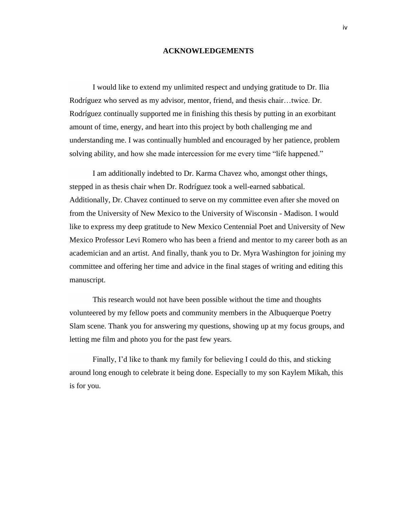# **ACKNOWLEDGEMENTS**

I would like to extend my unlimited respect and undying gratitude to Dr. Ilia Rodríguez who served as my advisor, mentor, friend, and thesis chair…twice. Dr. Rodríguez continually supported me in finishing this thesis by putting in an exorbitant amount of time, energy, and heart into this project by both challenging me and understanding me. I was continually humbled and encouraged by her patience, problem solving ability, and how she made intercession for me every time "life happened."

I am additionally indebted to Dr. Karma Chavez who, amongst other things, stepped in as thesis chair when Dr. Rodríguez took a well-earned sabbatical. Additionally, Dr. Chavez continued to serve on my committee even after she moved on from the University of New Mexico to the University of Wisconsin - Madison. I would like to express my deep gratitude to New Mexico Centennial Poet and University of New Mexico Professor Levi Romero who has been a friend and mentor to my career both as an academician and an artist. And finally, thank you to Dr. Myra Washington for joining my committee and offering her time and advice in the final stages of writing and editing this manuscript.

This research would not have been possible without the time and thoughts volunteered by my fellow poets and community members in the Albuquerque Poetry Slam scene. Thank you for answering my questions, showing up at my focus groups, and letting me film and photo you for the past few years.

Finally, I'd like to thank my family for believing I could do this, and sticking around long enough to celebrate it being done. Especially to my son Kaylem Mikah, this is for you.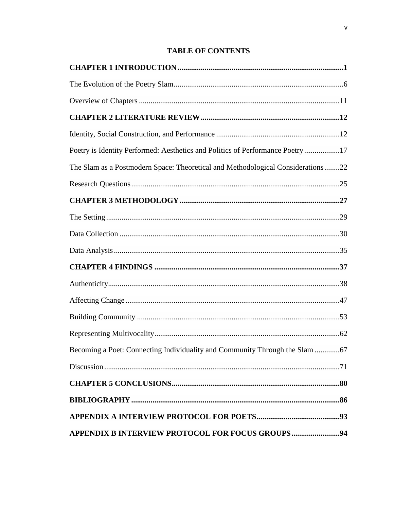# **TABLE OF CONTENTS**

| Poetry is Identity Performed: Aesthetics and Politics of Performance Poetry 17  |  |
|---------------------------------------------------------------------------------|--|
| The Slam as a Postmodern Space: Theoretical and Methodological Considerations22 |  |
|                                                                                 |  |
|                                                                                 |  |
|                                                                                 |  |
|                                                                                 |  |
|                                                                                 |  |
|                                                                                 |  |
|                                                                                 |  |
|                                                                                 |  |
|                                                                                 |  |
|                                                                                 |  |
|                                                                                 |  |
|                                                                                 |  |
|                                                                                 |  |
|                                                                                 |  |
|                                                                                 |  |
| APPENDIX B INTERVIEW PROTOCOL FOR FOCUS GROUPS94                                |  |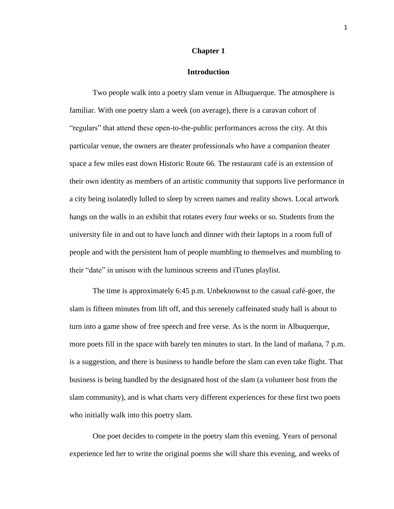#### **Chapter 1**

# **Introduction**

Two people walk into a poetry slam venue in Albuquerque. The atmosphere is familiar. With one poetry slam a week (on average), there is a caravan cohort of "regulars" that attend these open-to-the-public performances across the city. At this particular venue, the owners are theater professionals who have a companion theater space a few miles east down Historic Route 66. The restaurant café is an extension of their own identity as members of an artistic community that supports live performance in a city being isolatedly lulled to sleep by screen names and reality shows. Local artwork hangs on the walls in an exhibit that rotates every four weeks or so. Students from the university file in and out to have lunch and dinner with their laptops in a room full of people and with the persistent hum of people mumbling to themselves and mumbling to their "date" in unison with the luminous screens and iTunes playlist.

The time is approximately 6:45 p.m. Unbeknownst to the casual café-goer, the slam is fifteen minutes from lift off, and this serenely caffeinated study hall is about to turn into a game show of free speech and free verse. As is the norm in Albuquerque, more poets fill in the space with barely ten minutes to start. In the land of mañana, 7 p.m. is a suggestion, and there is business to handle before the slam can even take flight. That business is being handled by the designated host of the slam (a volunteer host from the slam community), and is what charts very different experiences for these first two poets who initially walk into this poetry slam.

One poet decides to compete in the poetry slam this evening. Years of personal experience led her to write the original poems she will share this evening, and weeks of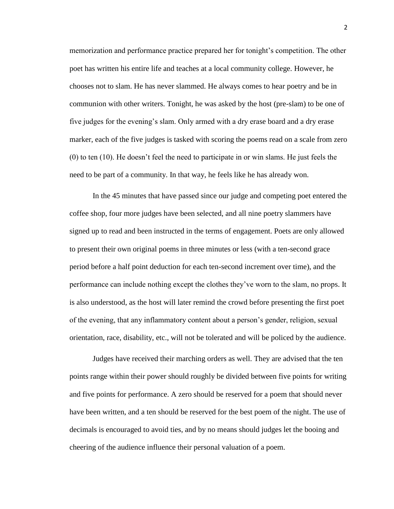memorization and performance practice prepared her for tonight's competition. The other poet has written his entire life and teaches at a local community college. However, he chooses not to slam. He has never slammed. He always comes to hear poetry and be in communion with other writers. Tonight, he was asked by the host (pre-slam) to be one of five judges for the evening's slam. Only armed with a dry erase board and a dry erase marker, each of the five judges is tasked with scoring the poems read on a scale from zero (0) to ten (10). He doesn't feel the need to participate in or win slams. He just feels the need to be part of a community. In that way, he feels like he has already won.

In the 45 minutes that have passed since our judge and competing poet entered the coffee shop, four more judges have been selected, and all nine poetry slammers have signed up to read and been instructed in the terms of engagement. Poets are only allowed to present their own original poems in three minutes or less (with a ten-second grace period before a half point deduction for each ten-second increment over time), and the performance can include nothing except the clothes they've worn to the slam, no props. It is also understood, as the host will later remind the crowd before presenting the first poet of the evening, that any inflammatory content about a person's gender, religion, sexual orientation, race, disability, etc., will not be tolerated and will be policed by the audience.

Judges have received their marching orders as well. They are advised that the ten points range within their power should roughly be divided between five points for writing and five points for performance. A zero should be reserved for a poem that should never have been written, and a ten should be reserved for the best poem of the night. The use of decimals is encouraged to avoid ties, and by no means should judges let the booing and cheering of the audience influence their personal valuation of a poem.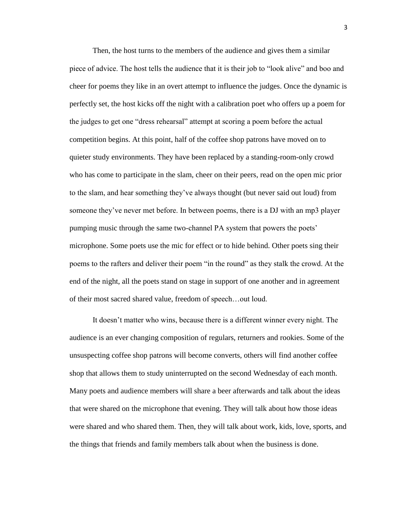Then, the host turns to the members of the audience and gives them a similar piece of advice. The host tells the audience that it is their job to "look alive" and boo and cheer for poems they like in an overt attempt to influence the judges. Once the dynamic is perfectly set, the host kicks off the night with a calibration poet who offers up a poem for the judges to get one "dress rehearsal" attempt at scoring a poem before the actual competition begins. At this point, half of the coffee shop patrons have moved on to quieter study environments. They have been replaced by a standing-room-only crowd who has come to participate in the slam, cheer on their peers, read on the open mic prior to the slam, and hear something they've always thought (but never said out loud) from someone they've never met before. In between poems, there is a DJ with an mp3 player pumping music through the same two-channel PA system that powers the poets' microphone. Some poets use the mic for effect or to hide behind. Other poets sing their poems to the rafters and deliver their poem "in the round" as they stalk the crowd. At the end of the night, all the poets stand on stage in support of one another and in agreement of their most sacred shared value, freedom of speech…out loud.

It doesn't matter who wins, because there is a different winner every night. The audience is an ever changing composition of regulars, returners and rookies. Some of the unsuspecting coffee shop patrons will become converts, others will find another coffee shop that allows them to study uninterrupted on the second Wednesday of each month. Many poets and audience members will share a beer afterwards and talk about the ideas that were shared on the microphone that evening. They will talk about how those ideas were shared and who shared them. Then, they will talk about work, kids, love, sports, and the things that friends and family members talk about when the business is done.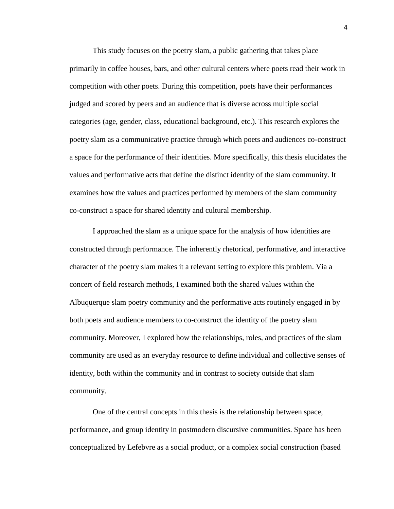This study focuses on the poetry slam, a public gathering that takes place primarily in coffee houses, bars, and other cultural centers where poets read their work in competition with other poets. During this competition, poets have their performances judged and scored by peers and an audience that is diverse across multiple social categories (age, gender, class, educational background, etc.). This research explores the poetry slam as a communicative practice through which poets and audiences co-construct a space for the performance of their identities. More specifically, this thesis elucidates the values and performative acts that define the distinct identity of the slam community. It examines how the values and practices performed by members of the slam community co-construct a space for shared identity and cultural membership.

I approached the slam as a unique space for the analysis of how identities are constructed through performance. The inherently rhetorical, performative, and interactive character of the poetry slam makes it a relevant setting to explore this problem. Via a concert of field research methods, I examined both the shared values within the Albuquerque slam poetry community and the performative acts routinely engaged in by both poets and audience members to co-construct the identity of the poetry slam community. Moreover, I explored how the relationships, roles, and practices of the slam community are used as an everyday resource to define individual and collective senses of identity, both within the community and in contrast to society outside that slam community.

One of the central concepts in this thesis is the relationship between space, performance, and group identity in postmodern discursive communities. Space has been conceptualized by Lefebvre as a social product, or a complex social construction (based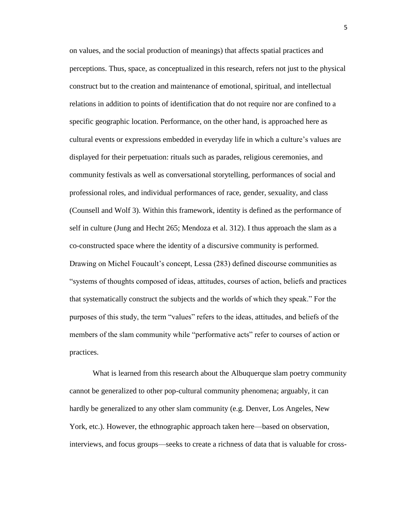on values, and the social production of meanings) that affects spatial practices and perceptions. Thus, space, as conceptualized in this research, refers not just to the physical construct but to the creation and maintenance of emotional, spiritual, and intellectual relations in addition to points of identification that do not require nor are confined to a specific geographic location. Performance, on the other hand, is approached here as cultural events or expressions embedded in everyday life in which a culture's values are displayed for their perpetuation: rituals such as parades, religious ceremonies, and community festivals as well as conversational storytelling, performances of social and professional roles, and individual performances of race, gender, sexuality, and class (Counsell and Wolf 3). Within this framework, identity is defined as the performance of self in culture (Jung and Hecht 265; Mendoza et al. 312). I thus approach the slam as a co-constructed space where the identity of a discursive community is performed. Drawing on Michel Foucault's concept, Lessa (283) defined discourse communities as "systems of thoughts composed of ideas, attitudes, courses of action, beliefs and practices that systematically construct the subjects and the worlds of which they speak." For the purposes of this study, the term "values" refers to the ideas, attitudes, and beliefs of the members of the slam community while "performative acts" refer to courses of action or practices.

What is learned from this research about the Albuquerque slam poetry community cannot be generalized to other pop-cultural community phenomena; arguably, it can hardly be generalized to any other slam community (e.g. Denver, Los Angeles, New York, etc.). However, the ethnographic approach taken here—based on observation, interviews, and focus groups—seeks to create a richness of data that is valuable for cross-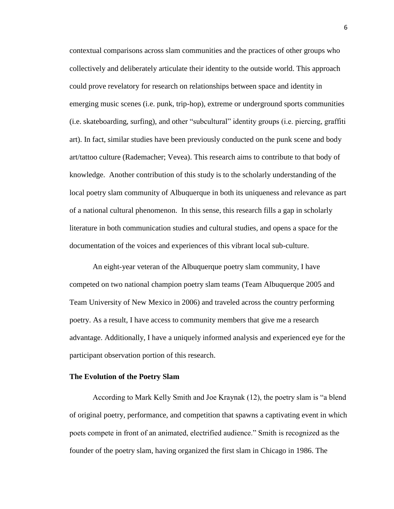contextual comparisons across slam communities and the practices of other groups who collectively and deliberately articulate their identity to the outside world. This approach could prove revelatory for research on relationships between space and identity in emerging music scenes (i.e. punk, trip-hop), extreme or underground sports communities (i.e. skateboarding, surfing), and other "subcultural" identity groups (i.e. piercing, graffiti art). In fact, similar studies have been previously conducted on the punk scene and body art/tattoo culture (Rademacher; Vevea). This research aims to contribute to that body of knowledge. Another contribution of this study is to the scholarly understanding of the local poetry slam community of Albuquerque in both its uniqueness and relevance as part of a national cultural phenomenon. In this sense, this research fills a gap in scholarly literature in both communication studies and cultural studies, and opens a space for the documentation of the voices and experiences of this vibrant local sub-culture.

An eight-year veteran of the Albuquerque poetry slam community, I have competed on two national champion poetry slam teams (Team Albuquerque 2005 and Team University of New Mexico in 2006) and traveled across the country performing poetry. As a result, I have access to community members that give me a research advantage. Additionally, I have a uniquely informed analysis and experienced eye for the participant observation portion of this research.

#### **The Evolution of the Poetry Slam**

According to Mark Kelly Smith and Joe Kraynak (12), the poetry slam is "a blend of original poetry, performance, and competition that spawns a captivating event in which poets compete in front of an animated, electrified audience." Smith is recognized as the founder of the poetry slam, having organized the first slam in Chicago in 1986. The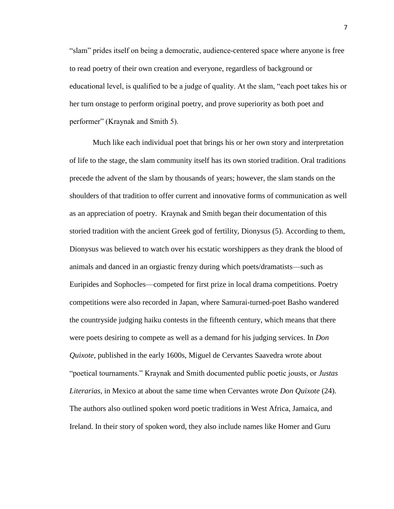"slam" prides itself on being a democratic, audience-centered space where anyone is free to read poetry of their own creation and everyone, regardless of background or educational level, is qualified to be a judge of quality. At the slam, "each poet takes his or her turn onstage to perform original poetry, and prove superiority as both poet and performer" (Kraynak and Smith 5).

Much like each individual poet that brings his or her own story and interpretation of life to the stage, the slam community itself has its own storied tradition. Oral traditions precede the advent of the slam by thousands of years; however, the slam stands on the shoulders of that tradition to offer current and innovative forms of communication as well as an appreciation of poetry. Kraynak and Smith began their documentation of this storied tradition with the ancient Greek god of fertility, Dionysus (5). According to them, Dionysus was believed to watch over his ecstatic worshippers as they drank the blood of animals and danced in an orgiastic frenzy during which poets/dramatists—such as Euripides and Sophocles—competed for first prize in local drama competitions. Poetry competitions were also recorded in Japan, where Samurai-turned-poet Basho wandered the countryside judging haiku contests in the fifteenth century, which means that there were poets desiring to compete as well as a demand for his judging services. In *Don Quixote*, published in the early 1600s, Miguel de Cervantes Saavedra wrote about "poetical tournaments." Kraynak and Smith documented public poetic jousts, or *Justas Literarias*, in Mexico at about the same time when Cervantes wrote *Don Quixote* (24). The authors also outlined spoken word poetic traditions in West Africa, Jamaica, and Ireland. In their story of spoken word, they also include names like Homer and Guru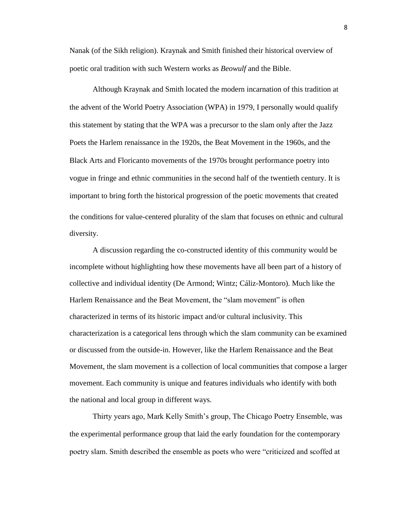Nanak (of the Sikh religion). Kraynak and Smith finished their historical overview of poetic oral tradition with such Western works as *Beowulf* and the Bible.

Although Kraynak and Smith located the modern incarnation of this tradition at the advent of the World Poetry Association (WPA) in 1979, I personally would qualify this statement by stating that the WPA was a precursor to the slam only after the Jazz Poets the Harlem renaissance in the 1920s, the Beat Movement in the 1960s, and the Black Arts and Floricanto movements of the 1970s brought performance poetry into vogue in fringe and ethnic communities in the second half of the twentieth century. It is important to bring forth the historical progression of the poetic movements that created the conditions for value-centered plurality of the slam that focuses on ethnic and cultural diversity.

A discussion regarding the co-constructed identity of this community would be incomplete without highlighting how these movements have all been part of a history of collective and individual identity (De Armond; Wintz; Cáliz-Montoro). Much like the Harlem Renaissance and the Beat Movement, the "slam movement" is often characterized in terms of its historic impact and/or cultural inclusivity. This characterization is a categorical lens through which the slam community can be examined or discussed from the outside-in. However, like the Harlem Renaissance and the Beat Movement, the slam movement is a collection of local communities that compose a larger movement. Each community is unique and features individuals who identify with both the national and local group in different ways.

Thirty years ago, Mark Kelly Smith's group, The Chicago Poetry Ensemble, was the experimental performance group that laid the early foundation for the contemporary poetry slam. Smith described the ensemble as poets who were "criticized and scoffed at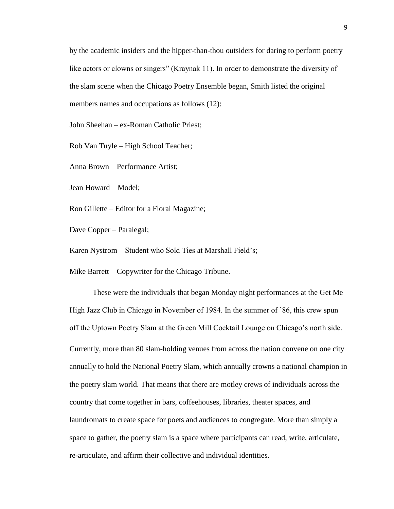by the academic insiders and the hipper-than-thou outsiders for daring to perform poetry like actors or clowns or singers" (Kraynak 11). In order to demonstrate the diversity of the slam scene when the Chicago Poetry Ensemble began, Smith listed the original members names and occupations as follows (12):

John Sheehan – ex-Roman Catholic Priest;

Rob Van Tuyle – High School Teacher;

Anna Brown – Performance Artist;

Jean Howard – Model;

Ron Gillette – Editor for a Floral Magazine;

Dave Copper – Paralegal;

Karen Nystrom – Student who Sold Ties at Marshall Field's;

Mike Barrett – Copywriter for the Chicago Tribune.

These were the individuals that began Monday night performances at the Get Me High Jazz Club in Chicago in November of 1984. In the summer of '86, this crew spun off the Uptown Poetry Slam at the Green Mill Cocktail Lounge on Chicago's north side. Currently, more than 80 slam-holding venues from across the nation convene on one city annually to hold the National Poetry Slam, which annually crowns a national champion in the poetry slam world. That means that there are motley crews of individuals across the country that come together in bars, coffeehouses, libraries, theater spaces, and laundromats to create space for poets and audiences to congregate. More than simply a space to gather, the poetry slam is a space where participants can read, write, articulate, re-articulate, and affirm their collective and individual identities.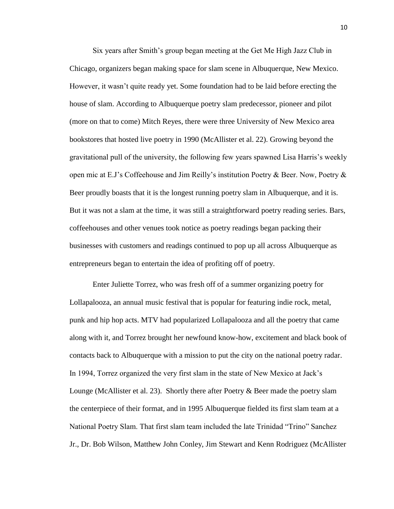Six years after Smith's group began meeting at the Get Me High Jazz Club in Chicago, organizers began making space for slam scene in Albuquerque, New Mexico. However, it wasn't quite ready yet. Some foundation had to be laid before erecting the house of slam. According to Albuquerque poetry slam predecessor, pioneer and pilot (more on that to come) Mitch Reyes, there were three University of New Mexico area bookstores that hosted live poetry in 1990 (McAllister et al. 22). Growing beyond the gravitational pull of the university, the following few years spawned Lisa Harris's weekly open mic at E.J's Coffeehouse and Jim Reilly's institution Poetry  $\&$  Beer. Now, Poetry  $\&$ Beer proudly boasts that it is the longest running poetry slam in Albuquerque, and it is. But it was not a slam at the time, it was still a straightforward poetry reading series. Bars, coffeehouses and other venues took notice as poetry readings began packing their businesses with customers and readings continued to pop up all across Albuquerque as entrepreneurs began to entertain the idea of profiting off of poetry.

Enter Juliette Torrez, who was fresh off of a summer organizing poetry for Lollapalooza, an annual music festival that is popular for featuring indie rock, metal, punk and hip hop acts. MTV had popularized Lollapalooza and all the poetry that came along with it, and Torrez brought her newfound know-how, excitement and black book of contacts back to Albuquerque with a mission to put the city on the national poetry radar. In 1994, Torrez organized the very first slam in the state of New Mexico at Jack's Lounge (McAllister et al. 23). Shortly there after Poetry  $\&$  Beer made the poetry slam the centerpiece of their format, and in 1995 Albuquerque fielded its first slam team at a National Poetry Slam. That first slam team included the late Trinidad "Trino" Sanchez Jr., Dr. Bob Wilson, Matthew John Conley, Jim Stewart and Kenn Rodriguez (McAllister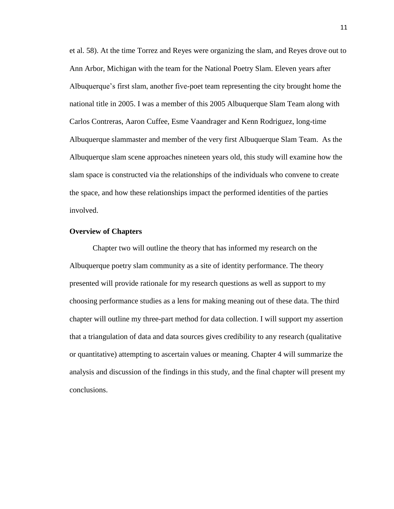et al. 58). At the time Torrez and Reyes were organizing the slam, and Reyes drove out to Ann Arbor, Michigan with the team for the National Poetry Slam. Eleven years after Albuquerque's first slam, another five-poet team representing the city brought home the national title in 2005. I was a member of this 2005 Albuquerque Slam Team along with Carlos Contreras, Aaron Cuffee, Esme Vaandrager and Kenn Rodriguez, long-time Albuquerque slammaster and member of the very first Albuquerque Slam Team. As the Albuquerque slam scene approaches nineteen years old, this study will examine how the slam space is constructed via the relationships of the individuals who convene to create the space, and how these relationships impact the performed identities of the parties involved.

# **Overview of Chapters**

Chapter two will outline the theory that has informed my research on the Albuquerque poetry slam community as a site of identity performance. The theory presented will provide rationale for my research questions as well as support to my choosing performance studies as a lens for making meaning out of these data. The third chapter will outline my three-part method for data collection. I will support my assertion that a triangulation of data and data sources gives credibility to any research (qualitative or quantitative) attempting to ascertain values or meaning. Chapter 4 will summarize the analysis and discussion of the findings in this study, and the final chapter will present my conclusions.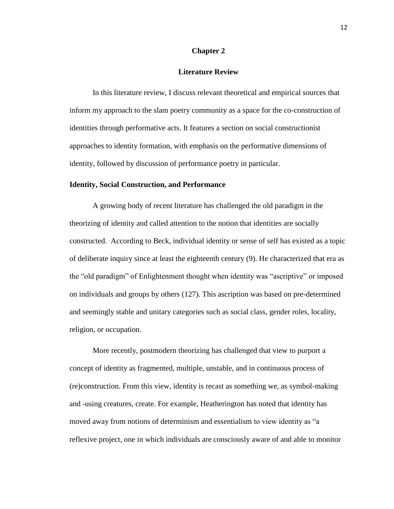# **Chapter 2**

# **Literature Review**

In this literature review, I discuss relevant theoretical and empirical sources that inform my approach to the slam poetry community as a space for the co-construction of identities through performative acts. It features a section on social constructionist approaches to identity formation, with emphasis on the performative dimensions of identity, followed by discussion of performance poetry in particular.

## **Identity, Social Construction, and Performance**

A growing body of recent literature has challenged the old paradigm in the theorizing of identity and called attention to the notion that identities are socially constructed. According to Beck, individual identity or sense of self has existed as a topic of deliberate inquiry since at least the eighteenth century (9). He characterized that era as the "old paradigm" of Enlightenment thought when identity was "ascriptive" or imposed on individuals and groups by others (127). This ascription was based on pre-determined and seemingly stable and unitary categories such as social class, gender roles, locality, religion, or occupation.

More recently, postmodern theorizing has challenged that view to purport a concept of identity as fragmented, multiple, unstable, and in continuous process of (re)construction. From this view, identity is recast as something we, as symbol-making and -using creatures, create. For example, Heatherington has noted that identity has moved away from notions of determinism and essentialism to view identity as "a reflexive project, one in which individuals are consciously aware of and able to monitor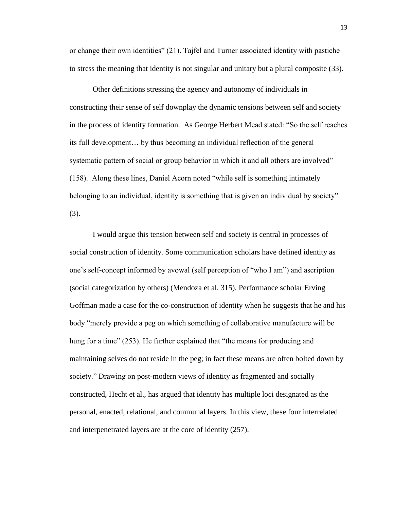or change their own identities" (21). Tajfel and Turner associated identity with pastiche to stress the meaning that identity is not singular and unitary but a plural composite (33).

Other definitions stressing the agency and autonomy of individuals in constructing their sense of self downplay the dynamic tensions between self and society in the process of identity formation. As George Herbert Mead stated: "So the self reaches its full development… by thus becoming an individual reflection of the general systematic pattern of social or group behavior in which it and all others are involved" (158). Along these lines, Daniel Acorn noted "while self is something intimately belonging to an individual, identity is something that is given an individual by society" (3).

I would argue this tension between self and society is central in processes of social construction of identity. Some communication scholars have defined identity as one's self-concept informed by avowal (self perception of "who I am") and ascription (social categorization by others) (Mendoza et al. 315). Performance scholar Erving Goffman made a case for the co-construction of identity when he suggests that he and his body "merely provide a peg on which something of collaborative manufacture will be hung for a time" (253). He further explained that "the means for producing and maintaining selves do not reside in the peg; in fact these means are often bolted down by society." Drawing on post-modern views of identity as fragmented and socially constructed, Hecht et al., has argued that identity has multiple loci designated as the personal, enacted, relational, and communal layers. In this view, these four interrelated and interpenetrated layers are at the core of identity (257).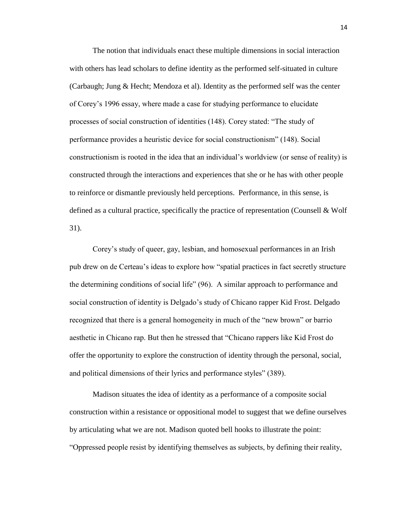The notion that individuals enact these multiple dimensions in social interaction with others has lead scholars to define identity as the performed self-situated in culture (Carbaugh; Jung & Hecht; Mendoza et al). Identity as the performed self was the center of Corey's 1996 essay, where made a case for studying performance to elucidate processes of social construction of identities (148). Corey stated: "The study of performance provides a heuristic device for social constructionism" (148). Social constructionism is rooted in the idea that an individual's worldview (or sense of reality) is constructed through the interactions and experiences that she or he has with other people to reinforce or dismantle previously held perceptions. Performance, in this sense, is defined as a cultural practice, specifically the practice of representation (Counsell & Wolf 31).

Corey's study of queer, gay, lesbian, and homosexual performances in an Irish pub drew on de Certeau's ideas to explore how "spatial practices in fact secretly structure the determining conditions of social life" (96). A similar approach to performance and social construction of identity is Delgado's study of Chicano rapper Kid Frost. Delgado recognized that there is a general homogeneity in much of the "new brown" or barrio aesthetic in Chicano rap. But then he stressed that "Chicano rappers like Kid Frost do offer the opportunity to explore the construction of identity through the personal, social, and political dimensions of their lyrics and performance styles" (389).

Madison situates the idea of identity as a performance of a composite social construction within a resistance or oppositional model to suggest that we define ourselves by articulating what we are not. Madison quoted bell hooks to illustrate the point: "Oppressed people resist by identifying themselves as subjects, by defining their reality,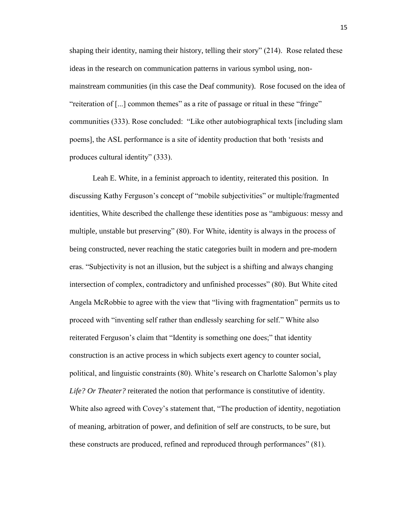shaping their identity, naming their history, telling their story" (214). Rose related these ideas in the research on communication patterns in various symbol using, nonmainstream communities (in this case the Deaf community). Rose focused on the idea of "reiteration of [...] common themes" as a rite of passage or ritual in these "fringe" communities (333). Rose concluded: "Like other autobiographical texts [including slam poems], the ASL performance is a site of identity production that both 'resists and produces cultural identity" (333).

Leah E. White, in a feminist approach to identity, reiterated this position. In discussing Kathy Ferguson's concept of "mobile subjectivities" or multiple/fragmented identities, White described the challenge these identities pose as "ambiguous: messy and multiple, unstable but preserving" (80). For White, identity is always in the process of being constructed, never reaching the static categories built in modern and pre-modern eras. "Subjectivity is not an illusion, but the subject is a shifting and always changing intersection of complex, contradictory and unfinished processes" (80). But White cited Angela McRobbie to agree with the view that "living with fragmentation" permits us to proceed with "inventing self rather than endlessly searching for self." White also reiterated Ferguson's claim that "Identity is something one does;" that identity construction is an active process in which subjects exert agency to counter social, political, and linguistic constraints (80). White's research on Charlotte Salomon's play *Life? Or Theater?* reiterated the notion that performance is constitutive of identity. White also agreed with Covey's statement that, "The production of identity, negotiation of meaning, arbitration of power, and definition of self are constructs, to be sure, but these constructs are produced, refined and reproduced through performances" (81).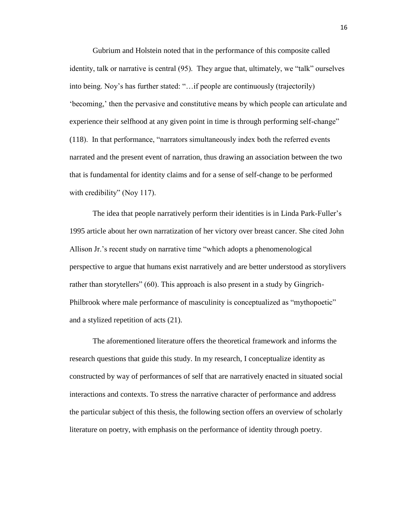Gubrium and Holstein noted that in the performance of this composite called identity, talk or narrative is central (95). They argue that, ultimately, we "talk" ourselves into being. Noy's has further stated: "…if people are continuously (trajectorily) 'becoming,' then the pervasive and constitutive means by which people can articulate and experience their selfhood at any given point in time is through performing self-change" (118). In that performance, "narrators simultaneously index both the referred events narrated and the present event of narration, thus drawing an association between the two that is fundamental for identity claims and for a sense of self-change to be performed with credibility" (Noy 117).

The idea that people narratively perform their identities is in Linda Park-Fuller's 1995 article about her own narratization of her victory over breast cancer. She cited John Allison Jr.'s recent study on narrative time "which adopts a phenomenological perspective to argue that humans exist narratively and are better understood as storylivers rather than storytellers" (60). This approach is also present in a study by Gingrich-Philbrook where male performance of masculinity is conceptualized as "mythopoetic" and a stylized repetition of acts (21).

The aforementioned literature offers the theoretical framework and informs the research questions that guide this study. In my research, I conceptualize identity as constructed by way of performances of self that are narratively enacted in situated social interactions and contexts. To stress the narrative character of performance and address the particular subject of this thesis, the following section offers an overview of scholarly literature on poetry, with emphasis on the performance of identity through poetry.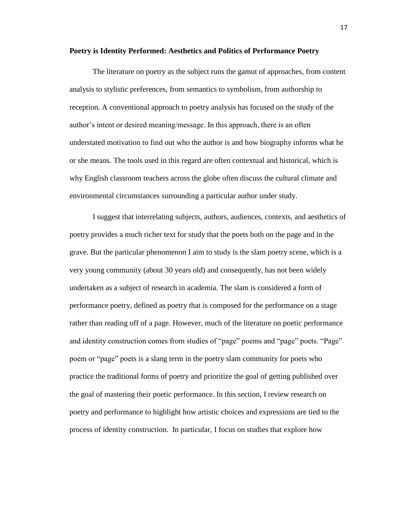#### **Poetry is Identity Performed: Aesthetics and Politics of Performance Poetry**

The literature on poetry as the subject runs the gamut of approaches, from content analysis to stylistic preferences, from semantics to symbolism, from authorship to reception. A conventional approach to poetry analysis has focused on the study of the author's intent or desired meaning/message. In this approach, there is an often understated motivation to find out who the author is and how biography informs what he or she means. The tools used in this regard are often contextual and historical, which is why English classroom teachers across the globe often discuss the cultural climate and environmental circumstances surrounding a particular author under study.

I suggest that interrelating subjects, authors, audiences, contexts, and aesthetics of poetry provides a much richer text for study that the poets both on the page and in the grave. But the particular phenomenon I aim to study is the slam poetry scene, which is a very young community (about 30 years old) and consequently, has not been widely undertaken as a subject of research in academia. The slam is considered a form of performance poetry, defined as poetry that is composed for the performance on a stage rather than reading off of a page. However, much of the literature on poetic performance and identity construction comes from studies of "page" poems and "page" poets. "Page" poem or "page" poets is a slang term in the poetry slam community for poets who practice the traditional forms of poetry and prioritize the goal of getting published over the goal of mastering their poetic performance. In this section, I review research on poetry and performance to highlight how artistic choices and expressions are tied to the process of identity construction. In particular, I focus on studies that explore how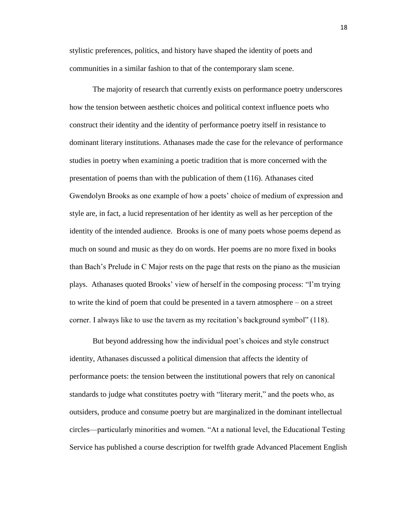stylistic preferences, politics, and history have shaped the identity of poets and communities in a similar fashion to that of the contemporary slam scene.

The majority of research that currently exists on performance poetry underscores how the tension between aesthetic choices and political context influence poets who construct their identity and the identity of performance poetry itself in resistance to dominant literary institutions. Athanases made the case for the relevance of performance studies in poetry when examining a poetic tradition that is more concerned with the presentation of poems than with the publication of them (116). Athanases cited Gwendolyn Brooks as one example of how a poets' choice of medium of expression and style are, in fact, a lucid representation of her identity as well as her perception of the identity of the intended audience. Brooks is one of many poets whose poems depend as much on sound and music as they do on words. Her poems are no more fixed in books than Bach's Prelude in C Major rests on the page that rests on the piano as the musician plays. Athanases quoted Brooks' view of herself in the composing process: "I'm trying to write the kind of poem that could be presented in a tavern atmosphere – on a street corner. I always like to use the tavern as my recitation's background symbol" (118).

But beyond addressing how the individual poet's choices and style construct identity, Athanases discussed a political dimension that affects the identity of performance poets: the tension between the institutional powers that rely on canonical standards to judge what constitutes poetry with "literary merit," and the poets who, as outsiders, produce and consume poetry but are marginalized in the dominant intellectual circles—particularly minorities and women. "At a national level, the Educational Testing Service has published a course description for twelfth grade Advanced Placement English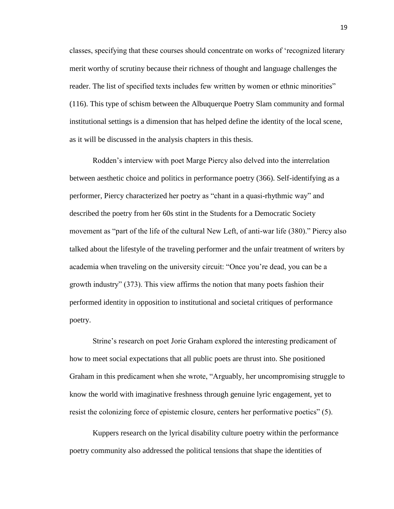classes, specifying that these courses should concentrate on works of 'recognized literary merit worthy of scrutiny because their richness of thought and language challenges the reader. The list of specified texts includes few written by women or ethnic minorities" (116). This type of schism between the Albuquerque Poetry Slam community and formal institutional settings is a dimension that has helped define the identity of the local scene, as it will be discussed in the analysis chapters in this thesis.

Rodden's interview with poet Marge Piercy also delved into the interrelation between aesthetic choice and politics in performance poetry (366). Self-identifying as a performer, Piercy characterized her poetry as "chant in a quasi-rhythmic way" and described the poetry from her 60s stint in the Students for a Democratic Society movement as "part of the life of the cultural New Left, of anti-war life (380)." Piercy also talked about the lifestyle of the traveling performer and the unfair treatment of writers by academia when traveling on the university circuit: "Once you're dead, you can be a growth industry" (373). This view affirms the notion that many poets fashion their performed identity in opposition to institutional and societal critiques of performance poetry.

Strine's research on poet Jorie Graham explored the interesting predicament of how to meet social expectations that all public poets are thrust into. She positioned Graham in this predicament when she wrote, "Arguably, her uncompromising struggle to know the world with imaginative freshness through genuine lyric engagement, yet to resist the colonizing force of epistemic closure, centers her performative poetics" (5).

Kuppers research on the lyrical disability culture poetry within the performance poetry community also addressed the political tensions that shape the identities of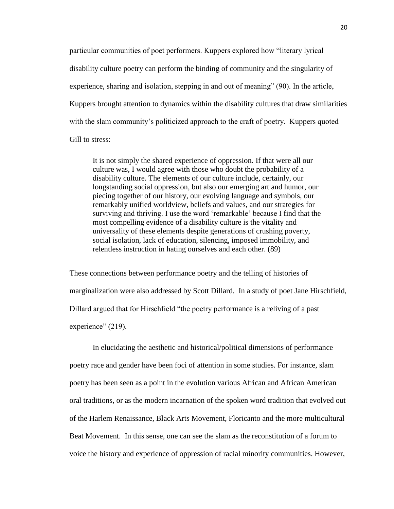particular communities of poet performers. Kuppers explored how "literary lyrical disability culture poetry can perform the binding of community and the singularity of experience, sharing and isolation, stepping in and out of meaning" (90). In the article, Kuppers brought attention to dynamics within the disability cultures that draw similarities with the slam community's politicized approach to the craft of poetry. Kuppers quoted Gill to stress:

It is not simply the shared experience of oppression. If that were all our culture was, I would agree with those who doubt the probability of a disability culture. The elements of our culture include, certainly, our longstanding social oppression, but also our emerging art and humor, our piecing together of our history, our evolving language and symbols, our remarkably unified worldview, beliefs and values, and our strategies for surviving and thriving. I use the word 'remarkable' because I find that the most compelling evidence of a disability culture is the vitality and universality of these elements despite generations of crushing poverty, social isolation, lack of education, silencing, imposed immobility, and relentless instruction in hating ourselves and each other. (89)

These connections between performance poetry and the telling of histories of marginalization were also addressed by Scott Dillard. In a study of poet Jane Hirschfield, Dillard argued that for Hirschfield "the poetry performance is a reliving of a past experience" (219).

In elucidating the aesthetic and historical/political dimensions of performance poetry race and gender have been foci of attention in some studies. For instance, slam poetry has been seen as a point in the evolution various African and African American oral traditions, or as the modern incarnation of the spoken word tradition that evolved out of the Harlem Renaissance, Black Arts Movement, Floricanto and the more multicultural Beat Movement. In this sense, one can see the slam as the reconstitution of a forum to voice the history and experience of oppression of racial minority communities. However,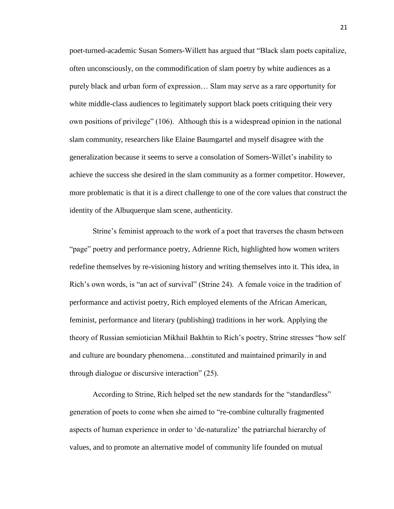poet-turned-academic Susan Somers-Willett has argued that "Black slam poets capitalize, often unconsciously, on the commodification of slam poetry by white audiences as a purely black and urban form of expression… Slam may serve as a rare opportunity for white middle-class audiences to legitimately support black poets critiquing their very own positions of privilege" (106). Although this is a widespread opinion in the national slam community, researchers like Elaine Baumgartel and myself disagree with the generalization because it seems to serve a consolation of Somers-Willet's inability to achieve the success she desired in the slam community as a former competitor. However, more problematic is that it is a direct challenge to one of the core values that construct the identity of the Albuquerque slam scene, authenticity.

Strine's feminist approach to the work of a poet that traverses the chasm between "page" poetry and performance poetry, Adrienne Rich, highlighted how women writers redefine themselves by re-visioning history and writing themselves into it. This idea, in Rich's own words, is "an act of survival" (Strine 24). A female voice in the tradition of performance and activist poetry, Rich employed elements of the African American, feminist, performance and literary (publishing) traditions in her work. Applying the theory of Russian semiotician Mikhail Bakhtin to Rich's poetry, Strine stresses "how self and culture are boundary phenomena…constituted and maintained primarily in and through dialogue or discursive interaction" (25).

According to Strine, Rich helped set the new standards for the "standardless" generation of poets to come when she aimed to "re-combine culturally fragmented aspects of human experience in order to 'de-naturalize' the patriarchal hierarchy of values, and to promote an alternative model of community life founded on mutual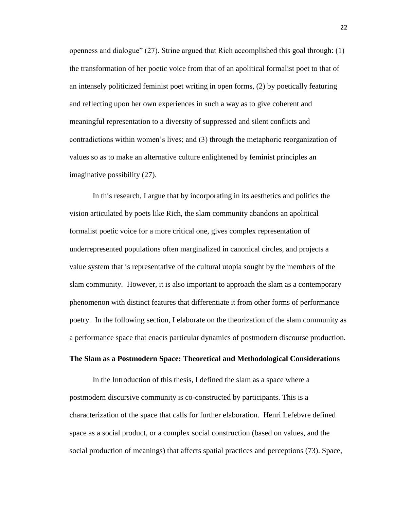openness and dialogue" (27). Strine argued that Rich accomplished this goal through: (1) the transformation of her poetic voice from that of an apolitical formalist poet to that of an intensely politicized feminist poet writing in open forms, (2) by poetically featuring and reflecting upon her own experiences in such a way as to give coherent and meaningful representation to a diversity of suppressed and silent conflicts and contradictions within women's lives; and (3) through the metaphoric reorganization of values so as to make an alternative culture enlightened by feminist principles an imaginative possibility (27).

In this research, I argue that by incorporating in its aesthetics and politics the vision articulated by poets like Rich, the slam community abandons an apolitical formalist poetic voice for a more critical one, gives complex representation of underrepresented populations often marginalized in canonical circles, and projects a value system that is representative of the cultural utopia sought by the members of the slam community. However, it is also important to approach the slam as a contemporary phenomenon with distinct features that differentiate it from other forms of performance poetry. In the following section, I elaborate on the theorization of the slam community as a performance space that enacts particular dynamics of postmodern discourse production.

# **The Slam as a Postmodern Space: Theoretical and Methodological Considerations**

In the Introduction of this thesis, I defined the slam as a space where a postmodern discursive community is co-constructed by participants. This is a characterization of the space that calls for further elaboration. Henri Lefebvre defined space as a social product, or a complex social construction (based on values, and the social production of meanings) that affects spatial practices and perceptions (73). Space,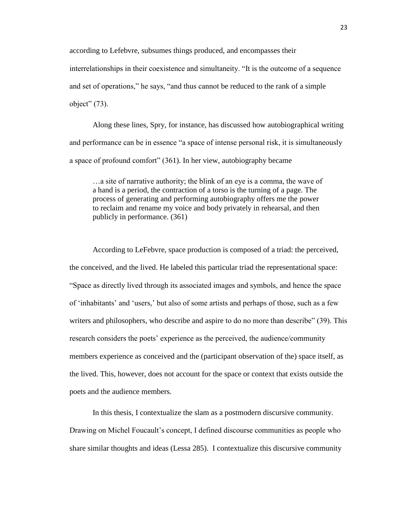according to Lefebvre, subsumes things produced, and encompasses their interrelationships in their coexistence and simultaneity. "It is the outcome of a sequence and set of operations," he says, "and thus cannot be reduced to the rank of a simple object"  $(73)$ .

Along these lines, Spry, for instance, has discussed how autobiographical writing and performance can be in essence "a space of intense personal risk, it is simultaneously a space of profound comfort" (361). In her view, autobiography became

…a site of narrative authority; the blink of an eye is a comma, the wave of a hand is a period, the contraction of a torso is the turning of a page. The process of generating and performing autobiography offers me the power to reclaim and rename my voice and body privately in rehearsal, and then publicly in performance. (361)

According to LeFebvre, space production is composed of a triad: the perceived, the conceived, and the lived. He labeled this particular triad the representational space: "Space as directly lived through its associated images and symbols, and hence the space of 'inhabitants' and 'users,' but also of some artists and perhaps of those, such as a few writers and philosophers, who describe and aspire to do no more than describe" (39). This research considers the poets' experience as the perceived, the audience/community members experience as conceived and the (participant observation of the) space itself, as the lived. This, however, does not account for the space or context that exists outside the poets and the audience members.

In this thesis, I contextualize the slam as a postmodern discursive community. Drawing on Michel Foucault's concept, I defined discourse communities as people who share similar thoughts and ideas (Lessa 285). I contextualize this discursive community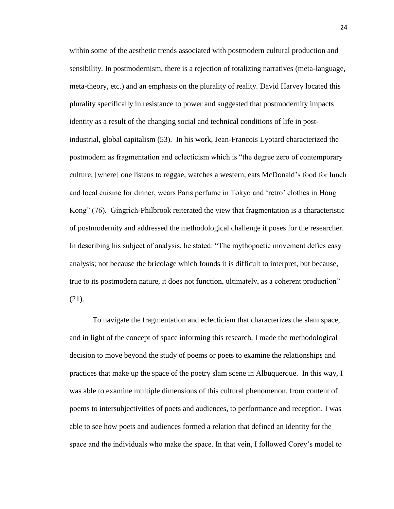within some of the aesthetic trends associated with postmodern cultural production and sensibility. In postmodernism, there is a rejection of totalizing narratives (meta-language, meta-theory, etc.) and an emphasis on the plurality of reality. David Harvey located this plurality specifically in resistance to power and suggested that postmodernity impacts identity as a result of the changing social and technical conditions of life in postindustrial, global capitalism (53). In his work, Jean-Francois Lyotard characterized the postmodern as fragmentation and eclecticism which is "the degree zero of contemporary culture; [where] one listens to reggae, watches a western, eats McDonald's food for lunch and local cuisine for dinner, wears Paris perfume in Tokyo and 'retro' clothes in Hong Kong" (76). Gingrich-Philbrook reiterated the view that fragmentation is a characteristic of postmodernity and addressed the methodological challenge it poses for the researcher. In describing his subject of analysis, he stated: "The mythopoetic movement defies easy analysis; not because the bricolage which founds it is difficult to interpret, but because, true to its postmodern nature, it does not function, ultimately, as a coherent production" (21).

To navigate the fragmentation and eclecticism that characterizes the slam space, and in light of the concept of space informing this research, I made the methodological decision to move beyond the study of poems or poets to examine the relationships and practices that make up the space of the poetry slam scene in Albuquerque. In this way, I was able to examine multiple dimensions of this cultural phenomenon, from content of poems to intersubjectivities of poets and audiences, to performance and reception. I was able to see how poets and audiences formed a relation that defined an identity for the space and the individuals who make the space. In that vein, I followed Corey's model to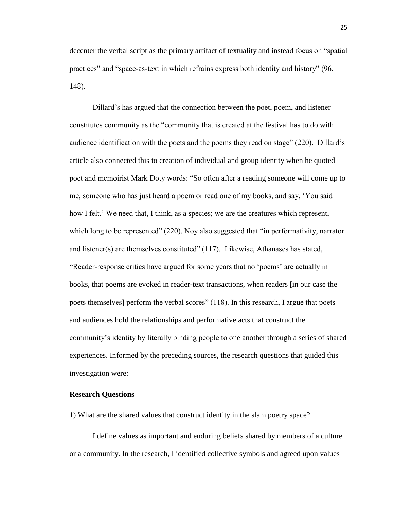decenter the verbal script as the primary artifact of textuality and instead focus on "spatial practices" and "space-as-text in which refrains express both identity and history" (96, 148).

Dillard's has argued that the connection between the poet, poem, and listener constitutes community as the "community that is created at the festival has to do with audience identification with the poets and the poems they read on stage" (220). Dillard's article also connected this to creation of individual and group identity when he quoted poet and memoirist Mark Doty words: "So often after a reading someone will come up to me, someone who has just heard a poem or read one of my books, and say, 'You said how I felt.' We need that, I think, as a species; we are the creatures which represent, which long to be represented" (220). Noy also suggested that "in performativity, narrator and listener(s) are themselves constituted" (117). Likewise, Athanases has stated, "Reader-response critics have argued for some years that no 'poems' are actually in books, that poems are evoked in reader-text transactions, when readers [in our case the poets themselves] perform the verbal scores" (118). In this research, I argue that poets and audiences hold the relationships and performative acts that construct the community's identity by literally binding people to one another through a series of shared experiences. Informed by the preceding sources, the research questions that guided this investigation were:

# **Research Questions**

1) What are the shared values that construct identity in the slam poetry space?

I define values as important and enduring beliefs shared by members of a culture or a community. In the research, I identified collective symbols and agreed upon values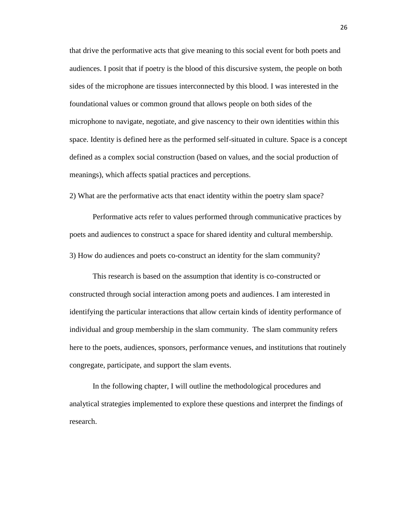that drive the performative acts that give meaning to this social event for both poets and audiences. I posit that if poetry is the blood of this discursive system, the people on both sides of the microphone are tissues interconnected by this blood. I was interested in the foundational values or common ground that allows people on both sides of the microphone to navigate, negotiate, and give nascency to their own identities within this space. Identity is defined here as the performed self-situated in culture. Space is a concept defined as a complex social construction (based on values, and the social production of meanings), which affects spatial practices and perceptions.

2) What are the performative acts that enact identity within the poetry slam space?

Performative acts refer to values performed through communicative practices by poets and audiences to construct a space for shared identity and cultural membership. 3) How do audiences and poets co-construct an identity for the slam community?

This research is based on the assumption that identity is co-constructed or constructed through social interaction among poets and audiences. I am interested in identifying the particular interactions that allow certain kinds of identity performance of individual and group membership in the slam community. The slam community refers here to the poets, audiences, sponsors, performance venues, and institutions that routinely congregate, participate, and support the slam events.

In the following chapter, I will outline the methodological procedures and analytical strategies implemented to explore these questions and interpret the findings of research.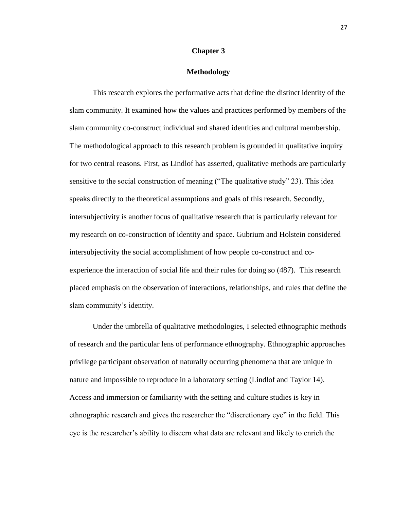# **Chapter 3**

# **Methodology**

This research explores the performative acts that define the distinct identity of the slam community. It examined how the values and practices performed by members of the slam community co-construct individual and shared identities and cultural membership. The methodological approach to this research problem is grounded in qualitative inquiry for two central reasons. First, as Lindlof has asserted, qualitative methods are particularly sensitive to the social construction of meaning ("The qualitative study" 23). This idea speaks directly to the theoretical assumptions and goals of this research. Secondly, intersubjectivity is another focus of qualitative research that is particularly relevant for my research on co-construction of identity and space. Gubrium and Holstein considered intersubjectivity the social accomplishment of how people co-construct and coexperience the interaction of social life and their rules for doing so (487). This research placed emphasis on the observation of interactions, relationships, and rules that define the slam community's identity.

Under the umbrella of qualitative methodologies, I selected ethnographic methods of research and the particular lens of performance ethnography. Ethnographic approaches privilege participant observation of naturally occurring phenomena that are unique in nature and impossible to reproduce in a laboratory setting (Lindlof and Taylor 14). Access and immersion or familiarity with the setting and culture studies is key in ethnographic research and gives the researcher the "discretionary eye" in the field. This eye is the researcher's ability to discern what data are relevant and likely to enrich the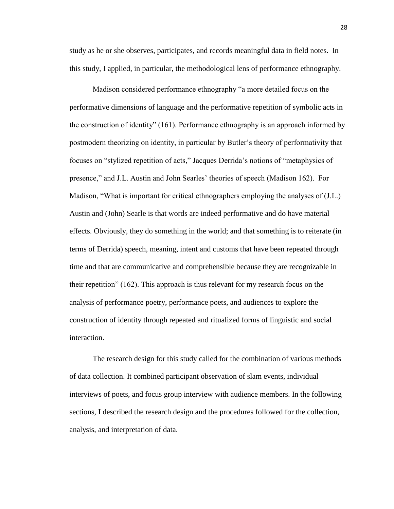study as he or she observes, participates, and records meaningful data in field notes. In this study, I applied, in particular, the methodological lens of performance ethnography.

Madison considered performance ethnography "a more detailed focus on the performative dimensions of language and the performative repetition of symbolic acts in the construction of identity" (161). Performance ethnography is an approach informed by postmodern theorizing on identity, in particular by Butler's theory of performativity that focuses on "stylized repetition of acts," Jacques Derrida's notions of "metaphysics of presence," and J.L. Austin and John Searles' theories of speech (Madison 162). For Madison, "What is important for critical ethnographers employing the analyses of (J.L.) Austin and (John) Searle is that words are indeed performative and do have material effects. Obviously, they do something in the world; and that something is to reiterate (in terms of Derrida) speech, meaning, intent and customs that have been repeated through time and that are communicative and comprehensible because they are recognizable in their repetition" (162). This approach is thus relevant for my research focus on the analysis of performance poetry, performance poets, and audiences to explore the construction of identity through repeated and ritualized forms of linguistic and social interaction.

The research design for this study called for the combination of various methods of data collection. It combined participant observation of slam events, individual interviews of poets, and focus group interview with audience members. In the following sections, I described the research design and the procedures followed for the collection, analysis, and interpretation of data.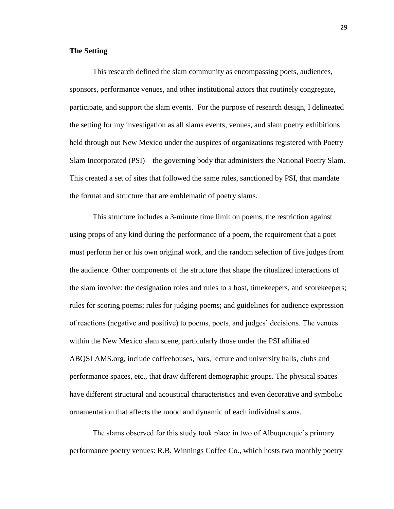# **The Setting**

This research defined the slam community as encompassing poets, audiences, sponsors, performance venues, and other institutional actors that routinely congregate, participate, and support the slam events. For the purpose of research design, I delineated the setting for my investigation as all slams events, venues, and slam poetry exhibitions held through out New Mexico under the auspices of organizations registered with Poetry Slam Incorporated (PSI)—the governing body that administers the National Poetry Slam. This created a set of sites that followed the same rules, sanctioned by PSI, that mandate the format and structure that are emblematic of poetry slams.

This structure includes a 3-minute time limit on poems, the restriction against using props of any kind during the performance of a poem, the requirement that a poet must perform her or his own original work, and the random selection of five judges from the audience. Other components of the structure that shape the ritualized interactions of the slam involve: the designation roles and rules to a host, timekeepers, and scorekeepers; rules for scoring poems; rules for judging poems; and guidelines for audience expression of reactions (negative and positive) to poems, poets, and judges' decisions. The venues within the New Mexico slam scene, particularly those under the PSI affiliated ABQSLAMS.org, include coffeehouses, bars, lecture and university halls, clubs and performance spaces, etc., that draw different demographic groups. The physical spaces have different structural and acoustical characteristics and even decorative and symbolic ornamentation that affects the mood and dynamic of each individual slams.

The slams observed for this study took place in two of Albuquerque's primary performance poetry venues: R.B. Winnings Coffee Co., which hosts two monthly poetry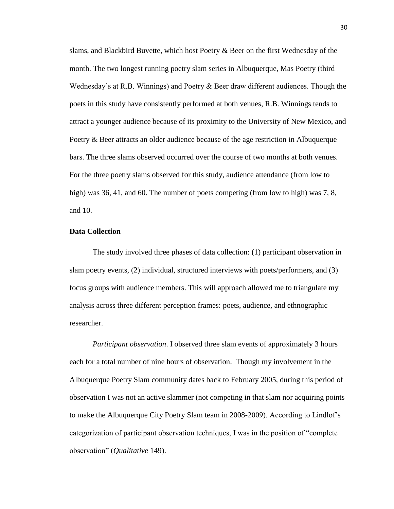slams, and Blackbird Buvette, which host Poetry & Beer on the first Wednesday of the month. The two longest running poetry slam series in Albuquerque, Mas Poetry (third Wednesday's at R.B. Winnings) and Poetry & Beer draw different audiences. Though the poets in this study have consistently performed at both venues, R.B. Winnings tends to attract a younger audience because of its proximity to the University of New Mexico, and Poetry & Beer attracts an older audience because of the age restriction in Albuquerque bars. The three slams observed occurred over the course of two months at both venues. For the three poetry slams observed for this study, audience attendance (from low to high) was 36, 41, and 60. The number of poets competing (from low to high) was 7, 8, and 10.

# **Data Collection**

The study involved three phases of data collection: (1) participant observation in slam poetry events, (2) individual, structured interviews with poets/performers, and (3) focus groups with audience members. This will approach allowed me to triangulate my analysis across three different perception frames: poets, audience, and ethnographic researcher.

*Participant observation*. I observed three slam events of approximately 3 hours each for a total number of nine hours of observation. Though my involvement in the Albuquerque Poetry Slam community dates back to February 2005, during this period of observation I was not an active slammer (not competing in that slam nor acquiring points to make the Albuquerque City Poetry Slam team in 2008-2009). According to Lindlof's categorization of participant observation techniques, I was in the position of "complete observation" (*Qualitative* 149).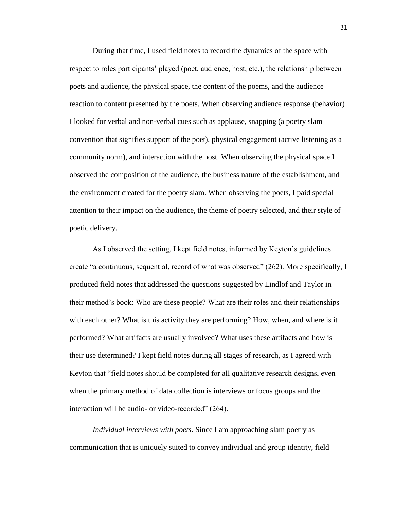During that time, I used field notes to record the dynamics of the space with respect to roles participants' played (poet, audience, host, etc.), the relationship between poets and audience, the physical space, the content of the poems, and the audience reaction to content presented by the poets. When observing audience response (behavior) I looked for verbal and non-verbal cues such as applause, snapping (a poetry slam convention that signifies support of the poet), physical engagement (active listening as a community norm), and interaction with the host. When observing the physical space I observed the composition of the audience, the business nature of the establishment, and the environment created for the poetry slam. When observing the poets, I paid special attention to their impact on the audience, the theme of poetry selected, and their style of poetic delivery.

As I observed the setting, I kept field notes, informed by Keyton's guidelines create "a continuous, sequential, record of what was observed" (262). More specifically, I produced field notes that addressed the questions suggested by Lindlof and Taylor in their method's book: Who are these people? What are their roles and their relationships with each other? What is this activity they are performing? How, when, and where is it performed? What artifacts are usually involved? What uses these artifacts and how is their use determined? I kept field notes during all stages of research, as I agreed with Keyton that "field notes should be completed for all qualitative research designs, even when the primary method of data collection is interviews or focus groups and the interaction will be audio- or video-recorded" (264).

*Individual interviews with poets*. Since I am approaching slam poetry as communication that is uniquely suited to convey individual and group identity, field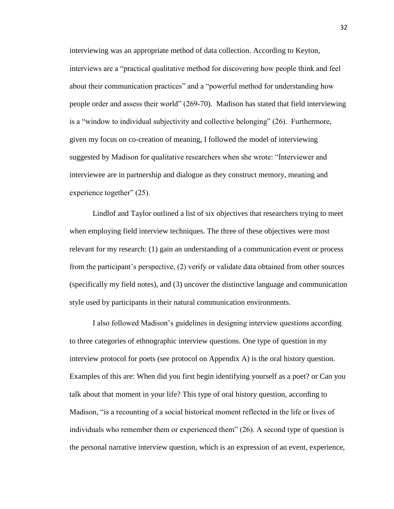interviewing was an appropriate method of data collection. According to Keyton, interviews are a "practical qualitative method for discovering how people think and feel about their communication practices" and a "powerful method for understanding how people order and assess their world" (269-70). Madison has stated that field interviewing is a "window to individual subjectivity and collective belonging" (26). Furthermore, given my focus on co-creation of meaning, I followed the model of interviewing suggested by Madison for qualitative researchers when she wrote: "Interviewer and interviewee are in partnership and dialogue as they construct memory, meaning and experience together" (25).

Lindlof and Taylor outlined a list of six objectives that researchers trying to meet when employing field interview techniques. The three of these objectives were most relevant for my research: (1) gain an understanding of a communication event or process from the participant's perspective, (2) verify or validate data obtained from other sources (specifically my field notes), and (3) uncover the distinctive language and communication style used by participants in their natural communication environments.

I also followed Madison's guidelines in designing interview questions according to three categories of ethnographic interview questions. One type of question in my interview protocol for poets (see protocol on Appendix A) is the oral history question. Examples of this are: When did you first begin identifying yourself as a poet? or Can you talk about that moment in your life? This type of oral history question, according to Madison, "is a recounting of a social historical moment reflected in the life or lives of individuals who remember them or experienced them" (26). A second type of question is the personal narrative interview question, which is an expression of an event, experience,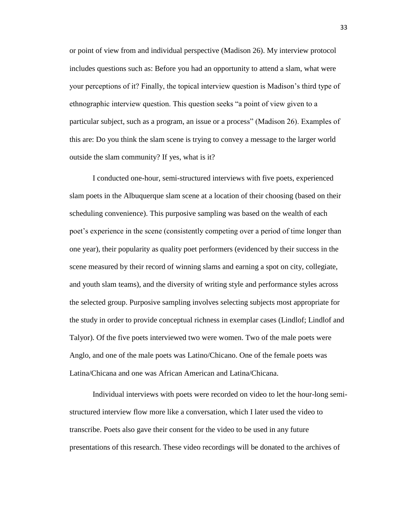or point of view from and individual perspective (Madison 26). My interview protocol includes questions such as: Before you had an opportunity to attend a slam, what were your perceptions of it? Finally, the topical interview question is Madison's third type of ethnographic interview question. This question seeks "a point of view given to a particular subject, such as a program, an issue or a process" (Madison 26). Examples of this are: Do you think the slam scene is trying to convey a message to the larger world outside the slam community? If yes, what is it?

I conducted one-hour, semi-structured interviews with five poets, experienced slam poets in the Albuquerque slam scene at a location of their choosing (based on their scheduling convenience). This purposive sampling was based on the wealth of each poet's experience in the scene (consistently competing over a period of time longer than one year), their popularity as quality poet performers (evidenced by their success in the scene measured by their record of winning slams and earning a spot on city, collegiate, and youth slam teams), and the diversity of writing style and performance styles across the selected group. Purposive sampling involves selecting subjects most appropriate for the study in order to provide conceptual richness in exemplar cases (Lindlof; Lindlof and Talyor). Of the five poets interviewed two were women. Two of the male poets were Anglo, and one of the male poets was Latino/Chicano. One of the female poets was Latina/Chicana and one was African American and Latina/Chicana.

Individual interviews with poets were recorded on video to let the hour-long semistructured interview flow more like a conversation, which I later used the video to transcribe. Poets also gave their consent for the video to be used in any future presentations of this research. These video recordings will be donated to the archives of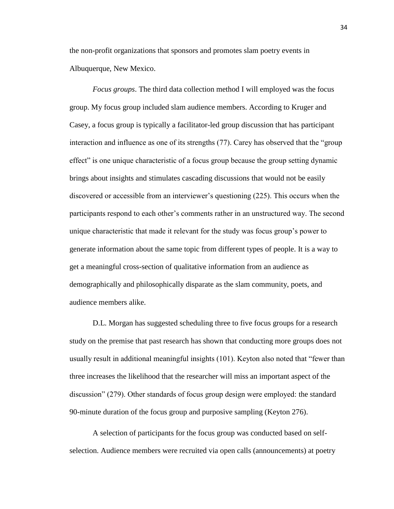the non-profit organizations that sponsors and promotes slam poetry events in Albuquerque, New Mexico.

*Focus groups*. The third data collection method I will employed was the focus group. My focus group included slam audience members. According to Kruger and Casey, a focus group is typically a facilitator-led group discussion that has participant interaction and influence as one of its strengths (77). Carey has observed that the "group effect" is one unique characteristic of a focus group because the group setting dynamic brings about insights and stimulates cascading discussions that would not be easily discovered or accessible from an interviewer's questioning (225). This occurs when the participants respond to each other's comments rather in an unstructured way. The second unique characteristic that made it relevant for the study was focus group's power to generate information about the same topic from different types of people. It is a way to get a meaningful cross-section of qualitative information from an audience as demographically and philosophically disparate as the slam community, poets, and audience members alike.

D.L. Morgan has suggested scheduling three to five focus groups for a research study on the premise that past research has shown that conducting more groups does not usually result in additional meaningful insights (101). Keyton also noted that "fewer than three increases the likelihood that the researcher will miss an important aspect of the discussion" (279). Other standards of focus group design were employed: the standard 90-minute duration of the focus group and purposive sampling (Keyton 276).

A selection of participants for the focus group was conducted based on selfselection. Audience members were recruited via open calls (announcements) at poetry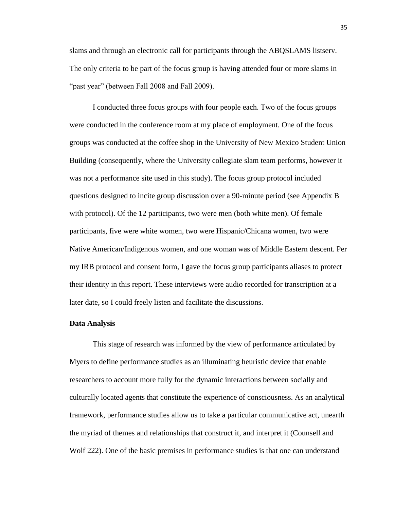slams and through an electronic call for participants through the ABQSLAMS listserv. The only criteria to be part of the focus group is having attended four or more slams in "past year" (between Fall 2008 and Fall 2009).

I conducted three focus groups with four people each. Two of the focus groups were conducted in the conference room at my place of employment. One of the focus groups was conducted at the coffee shop in the University of New Mexico Student Union Building (consequently, where the University collegiate slam team performs, however it was not a performance site used in this study). The focus group protocol included questions designed to incite group discussion over a 90-minute period (see Appendix B with protocol). Of the 12 participants, two were men (both white men). Of female participants, five were white women, two were Hispanic/Chicana women, two were Native American/Indigenous women, and one woman was of Middle Eastern descent. Per my IRB protocol and consent form, I gave the focus group participants aliases to protect their identity in this report. These interviews were audio recorded for transcription at a later date, so I could freely listen and facilitate the discussions.

#### **Data Analysis**

This stage of research was informed by the view of performance articulated by Myers to define performance studies as an illuminating heuristic device that enable researchers to account more fully for the dynamic interactions between socially and culturally located agents that constitute the experience of consciousness. As an analytical framework, performance studies allow us to take a particular communicative act, unearth the myriad of themes and relationships that construct it, and interpret it (Counsell and Wolf 222). One of the basic premises in performance studies is that one can understand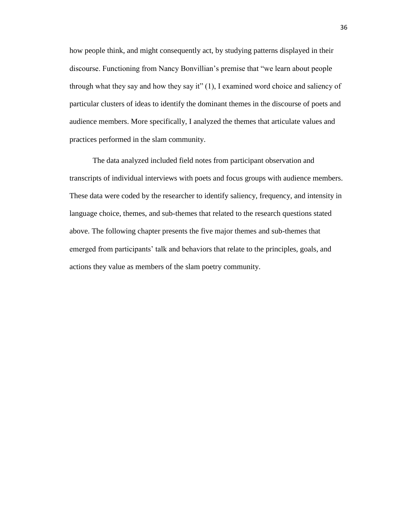how people think, and might consequently act, by studying patterns displayed in their discourse. Functioning from Nancy Bonvillian's premise that "we learn about people through what they say and how they say it" (1), I examined word choice and saliency of particular clusters of ideas to identify the dominant themes in the discourse of poets and audience members. More specifically, I analyzed the themes that articulate values and practices performed in the slam community.

The data analyzed included field notes from participant observation and transcripts of individual interviews with poets and focus groups with audience members. These data were coded by the researcher to identify saliency, frequency, and intensity in language choice, themes, and sub-themes that related to the research questions stated above. The following chapter presents the five major themes and sub-themes that emerged from participants' talk and behaviors that relate to the principles, goals, and actions they value as members of the slam poetry community.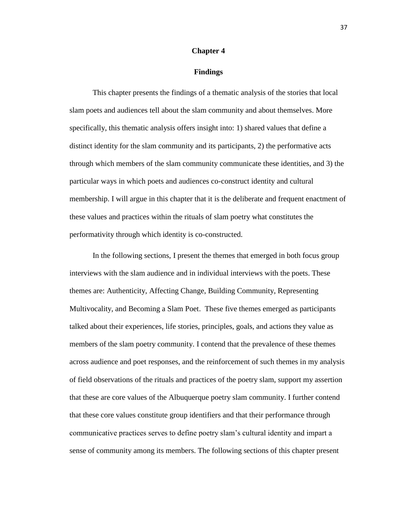#### **Chapter 4**

#### **Findings**

This chapter presents the findings of a thematic analysis of the stories that local slam poets and audiences tell about the slam community and about themselves. More specifically, this thematic analysis offers insight into: 1) shared values that define a distinct identity for the slam community and its participants, 2) the performative acts through which members of the slam community communicate these identities, and 3) the particular ways in which poets and audiences co-construct identity and cultural membership. I will argue in this chapter that it is the deliberate and frequent enactment of these values and practices within the rituals of slam poetry what constitutes the performativity through which identity is co-constructed.

In the following sections, I present the themes that emerged in both focus group interviews with the slam audience and in individual interviews with the poets. These themes are: Authenticity, Affecting Change, Building Community, Representing Multivocality, and Becoming a Slam Poet. These five themes emerged as participants talked about their experiences, life stories, principles, goals, and actions they value as members of the slam poetry community. I contend that the prevalence of these themes across audience and poet responses, and the reinforcement of such themes in my analysis of field observations of the rituals and practices of the poetry slam, support my assertion that these are core values of the Albuquerque poetry slam community. I further contend that these core values constitute group identifiers and that their performance through communicative practices serves to define poetry slam's cultural identity and impart a sense of community among its members. The following sections of this chapter present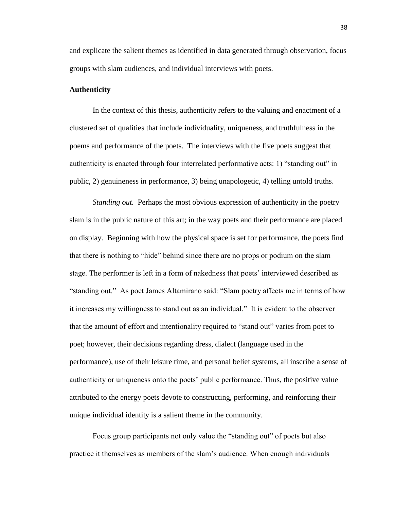and explicate the salient themes as identified in data generated through observation, focus groups with slam audiences, and individual interviews with poets.

## **Authenticity**

In the context of this thesis, authenticity refers to the valuing and enactment of a clustered set of qualities that include individuality, uniqueness, and truthfulness in the poems and performance of the poets. The interviews with the five poets suggest that authenticity is enacted through four interrelated performative acts: 1) "standing out" in public, 2) genuineness in performance, 3) being unapologetic, 4) telling untold truths.

*Standing out.* Perhaps the most obvious expression of authenticity in the poetry slam is in the public nature of this art; in the way poets and their performance are placed on display. Beginning with how the physical space is set for performance, the poets find that there is nothing to "hide" behind since there are no props or podium on the slam stage. The performer is left in a form of nakedness that poets' interviewed described as "standing out." As poet James Altamirano said: "Slam poetry affects me in terms of how it increases my willingness to stand out as an individual." It is evident to the observer that the amount of effort and intentionality required to "stand out" varies from poet to poet; however, their decisions regarding dress, dialect (language used in the performance), use of their leisure time, and personal belief systems, all inscribe a sense of authenticity or uniqueness onto the poets' public performance. Thus, the positive value attributed to the energy poets devote to constructing, performing, and reinforcing their unique individual identity is a salient theme in the community.

Focus group participants not only value the "standing out" of poets but also practice it themselves as members of the slam's audience. When enough individuals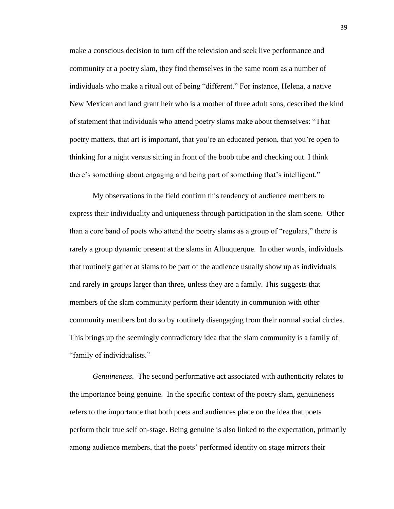make a conscious decision to turn off the television and seek live performance and community at a poetry slam, they find themselves in the same room as a number of individuals who make a ritual out of being "different." For instance, Helena, a native New Mexican and land grant heir who is a mother of three adult sons, described the kind of statement that individuals who attend poetry slams make about themselves: "That poetry matters, that art is important, that you're an educated person, that you're open to thinking for a night versus sitting in front of the boob tube and checking out. I think there's something about engaging and being part of something that's intelligent."

My observations in the field confirm this tendency of audience members to express their individuality and uniqueness through participation in the slam scene. Other than a core band of poets who attend the poetry slams as a group of "regulars," there is rarely a group dynamic present at the slams in Albuquerque. In other words, individuals that routinely gather at slams to be part of the audience usually show up as individuals and rarely in groups larger than three, unless they are a family. This suggests that members of the slam community perform their identity in communion with other community members but do so by routinely disengaging from their normal social circles. This brings up the seemingly contradictory idea that the slam community is a family of "family of individualists."

*Genuineness*. The second performative act associated with authenticity relates to the importance being genuine. In the specific context of the poetry slam, genuineness refers to the importance that both poets and audiences place on the idea that poets perform their true self on-stage. Being genuine is also linked to the expectation, primarily among audience members, that the poets' performed identity on stage mirrors their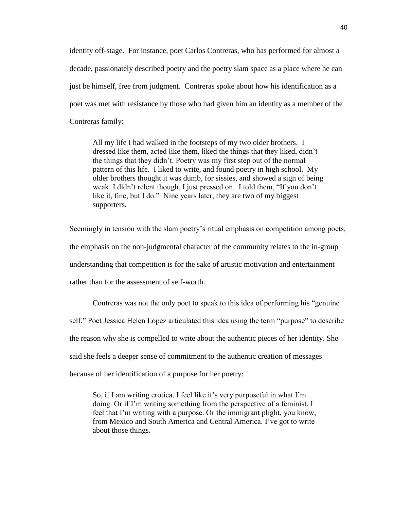identity off-stage. For instance, poet Carlos Contreras, who has performed for almost a decade, passionately described poetry and the poetry slam space as a place where he can just be himself, free from judgment. Contreras spoke about how his identification as a poet was met with resistance by those who had given him an identity as a member of the Contreras family:

All my life I had walked in the footsteps of my two older brothers. I dressed like them, acted like them, liked the things that they liked, didn't the things that they didn't. Poetry was my first step out of the normal pattern of this life. I liked to write, and found poetry in high school. My older brothers thought it was dumb, for sissies, and showed a sign of being weak. I didn't relent though, I just pressed on. I told them, "If you don't like it, fine, but I do." Nine years later, they are two of my biggest supporters.

Seemingly in tension with the slam poetry's ritual emphasis on competition among poets, the emphasis on the non-judgmental character of the community relates to the in-group understanding that competition is for the sake of artistic motivation and entertainment rather than for the assessment of self-worth.

Contreras was not the only poet to speak to this idea of performing his "genuine self." Poet Jessica Helen Lopez articulated this idea using the term "purpose" to describe the reason why she is compelled to write about the authentic pieces of her identity. She said she feels a deeper sense of commitment to the authentic creation of messages because of her identification of a purpose for her poetry:

So, if I am writing erotica, I feel like it's very purposeful in what I'm doing. Or if I'm writing something from the perspective of a feminist, I feel that I'm writing with a purpose. Or the immigrant plight, you know, from Mexico and South America and Central America. I've got to write about those things.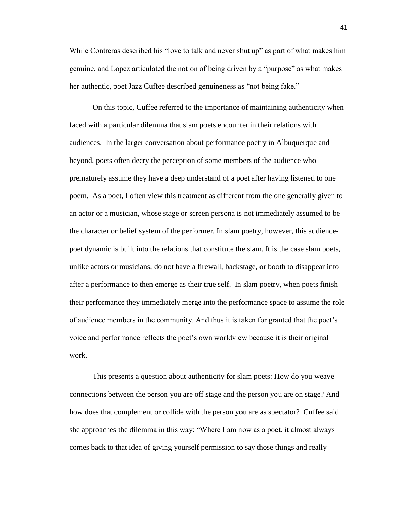While Contreras described his "love to talk and never shut up" as part of what makes him genuine, and Lopez articulated the notion of being driven by a "purpose" as what makes her authentic, poet Jazz Cuffee described genuineness as "not being fake."

On this topic, Cuffee referred to the importance of maintaining authenticity when faced with a particular dilemma that slam poets encounter in their relations with audiences. In the larger conversation about performance poetry in Albuquerque and beyond, poets often decry the perception of some members of the audience who prematurely assume they have a deep understand of a poet after having listened to one poem. As a poet, I often view this treatment as different from the one generally given to an actor or a musician, whose stage or screen persona is not immediately assumed to be the character or belief system of the performer. In slam poetry, however, this audiencepoet dynamic is built into the relations that constitute the slam. It is the case slam poets, unlike actors or musicians, do not have a firewall, backstage, or booth to disappear into after a performance to then emerge as their true self. In slam poetry, when poets finish their performance they immediately merge into the performance space to assume the role of audience members in the community. And thus it is taken for granted that the poet's voice and performance reflects the poet's own worldview because it is their original work.

This presents a question about authenticity for slam poets: How do you weave connections between the person you are off stage and the person you are on stage? And how does that complement or collide with the person you are as spectator? Cuffee said she approaches the dilemma in this way: "Where I am now as a poet, it almost always comes back to that idea of giving yourself permission to say those things and really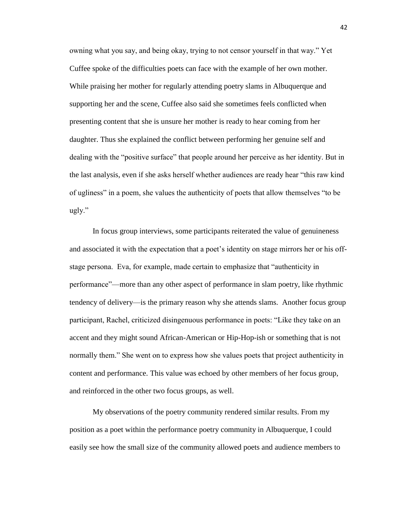owning what you say, and being okay, trying to not censor yourself in that way." Yet Cuffee spoke of the difficulties poets can face with the example of her own mother. While praising her mother for regularly attending poetry slams in Albuquerque and supporting her and the scene, Cuffee also said she sometimes feels conflicted when presenting content that she is unsure her mother is ready to hear coming from her daughter. Thus she explained the conflict between performing her genuine self and dealing with the "positive surface" that people around her perceive as her identity. But in the last analysis, even if she asks herself whether audiences are ready hear "this raw kind of ugliness" in a poem, she values the authenticity of poets that allow themselves "to be ugly."

In focus group interviews, some participants reiterated the value of genuineness and associated it with the expectation that a poet's identity on stage mirrors her or his offstage persona. Eva, for example, made certain to emphasize that "authenticity in performance"—more than any other aspect of performance in slam poetry, like rhythmic tendency of delivery—is the primary reason why she attends slams. Another focus group participant, Rachel, criticized disingenuous performance in poets: "Like they take on an accent and they might sound African-American or Hip-Hop-ish or something that is not normally them." She went on to express how she values poets that project authenticity in content and performance. This value was echoed by other members of her focus group, and reinforced in the other two focus groups, as well.

My observations of the poetry community rendered similar results. From my position as a poet within the performance poetry community in Albuquerque, I could easily see how the small size of the community allowed poets and audience members to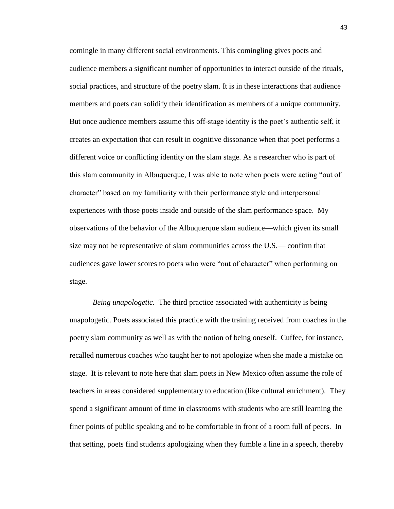comingle in many different social environments. This comingling gives poets and audience members a significant number of opportunities to interact outside of the rituals, social practices, and structure of the poetry slam. It is in these interactions that audience members and poets can solidify their identification as members of a unique community. But once audience members assume this off-stage identity is the poet's authentic self, it creates an expectation that can result in cognitive dissonance when that poet performs a different voice or conflicting identity on the slam stage. As a researcher who is part of this slam community in Albuquerque, I was able to note when poets were acting "out of character" based on my familiarity with their performance style and interpersonal experiences with those poets inside and outside of the slam performance space. My observations of the behavior of the Albuquerque slam audience—which given its small size may not be representative of slam communities across the U.S.— confirm that audiences gave lower scores to poets who were "out of character" when performing on stage.

*Being unapologetic.* The third practice associated with authenticity is being unapologetic. Poets associated this practice with the training received from coaches in the poetry slam community as well as with the notion of being oneself. Cuffee, for instance, recalled numerous coaches who taught her to not apologize when she made a mistake on stage. It is relevant to note here that slam poets in New Mexico often assume the role of teachers in areas considered supplementary to education (like cultural enrichment). They spend a significant amount of time in classrooms with students who are still learning the finer points of public speaking and to be comfortable in front of a room full of peers. In that setting, poets find students apologizing when they fumble a line in a speech, thereby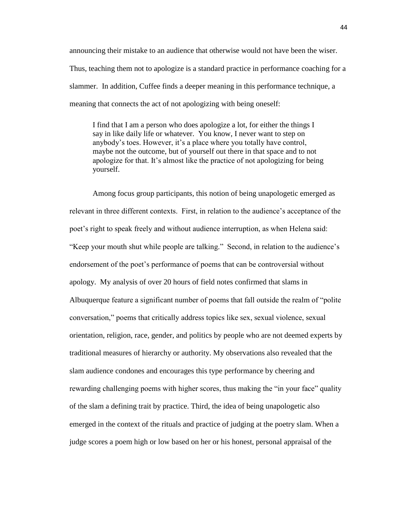announcing their mistake to an audience that otherwise would not have been the wiser. Thus, teaching them not to apologize is a standard practice in performance coaching for a slammer. In addition, Cuffee finds a deeper meaning in this performance technique, a meaning that connects the act of not apologizing with being oneself:

I find that I am a person who does apologize a lot, for either the things I say in like daily life or whatever. You know, I never want to step on anybody's toes. However, it's a place where you totally have control, maybe not the outcome, but of yourself out there in that space and to not apologize for that. It's almost like the practice of not apologizing for being yourself.

Among focus group participants, this notion of being unapologetic emerged as relevant in three different contexts. First, in relation to the audience's acceptance of the poet's right to speak freely and without audience interruption, as when Helena said: "Keep your mouth shut while people are talking." Second, in relation to the audience's endorsement of the poet's performance of poems that can be controversial without apology. My analysis of over 20 hours of field notes confirmed that slams in Albuquerque feature a significant number of poems that fall outside the realm of "polite conversation," poems that critically address topics like sex, sexual violence, sexual orientation, religion, race, gender, and politics by people who are not deemed experts by traditional measures of hierarchy or authority. My observations also revealed that the slam audience condones and encourages this type performance by cheering and rewarding challenging poems with higher scores, thus making the "in your face" quality of the slam a defining trait by practice. Third, the idea of being unapologetic also emerged in the context of the rituals and practice of judging at the poetry slam. When a judge scores a poem high or low based on her or his honest, personal appraisal of the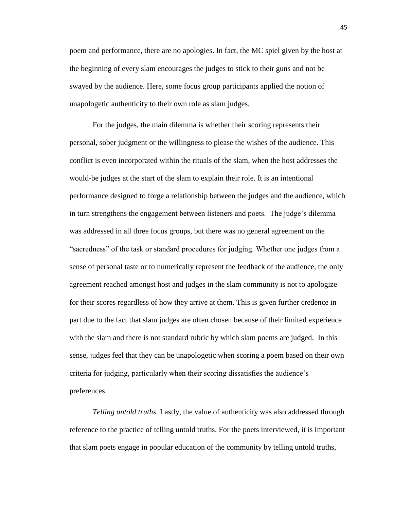poem and performance, there are no apologies. In fact, the MC spiel given by the host at the beginning of every slam encourages the judges to stick to their guns and not be swayed by the audience. Here, some focus group participants applied the notion of unapologetic authenticity to their own role as slam judges.

For the judges, the main dilemma is whether their scoring represents their personal, sober judgment or the willingness to please the wishes of the audience. This conflict is even incorporated within the rituals of the slam, when the host addresses the would-be judges at the start of the slam to explain their role. It is an intentional performance designed to forge a relationship between the judges and the audience, which in turn strengthens the engagement between listeners and poets. The judge's dilemma was addressed in all three focus groups, but there was no general agreement on the "sacredness" of the task or standard procedures for judging. Whether one judges from a sense of personal taste or to numerically represent the feedback of the audience, the only agreement reached amongst host and judges in the slam community is not to apologize for their scores regardless of how they arrive at them. This is given further credence in part due to the fact that slam judges are often chosen because of their limited experience with the slam and there is not standard rubric by which slam poems are judged. In this sense, judges feel that they can be unapologetic when scoring a poem based on their own criteria for judging, particularly when their scoring dissatisfies the audience's preferences.

*Telling untold truths*. Lastly, the value of authenticity was also addressed through reference to the practice of telling untold truths. For the poets interviewed, it is important that slam poets engage in popular education of the community by telling untold truths,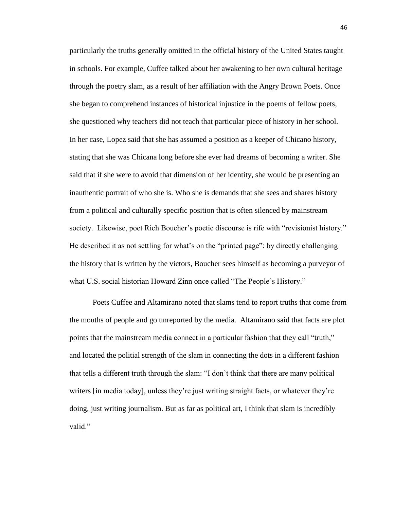particularly the truths generally omitted in the official history of the United States taught in schools. For example, Cuffee talked about her awakening to her own cultural heritage through the poetry slam, as a result of her affiliation with the Angry Brown Poets. Once she began to comprehend instances of historical injustice in the poems of fellow poets, she questioned why teachers did not teach that particular piece of history in her school. In her case, Lopez said that she has assumed a position as a keeper of Chicano history, stating that she was Chicana long before she ever had dreams of becoming a writer. She said that if she were to avoid that dimension of her identity, she would be presenting an inauthentic portrait of who she is. Who she is demands that she sees and shares history from a political and culturally specific position that is often silenced by mainstream society. Likewise, poet Rich Boucher's poetic discourse is rife with "revisionist history." He described it as not settling for what's on the "printed page": by directly challenging the history that is written by the victors, Boucher sees himself as becoming a purveyor of what U.S. social historian Howard Zinn once called "The People's History."

Poets Cuffee and Altamirano noted that slams tend to report truths that come from the mouths of people and go unreported by the media. Altamirano said that facts are plot points that the mainstream media connect in a particular fashion that they call "truth," and located the politial strength of the slam in connecting the dots in a different fashion that tells a different truth through the slam: "I don't think that there are many political writers [in media today], unless they're just writing straight facts, or whatever they're doing, just writing journalism. But as far as political art, I think that slam is incredibly valid."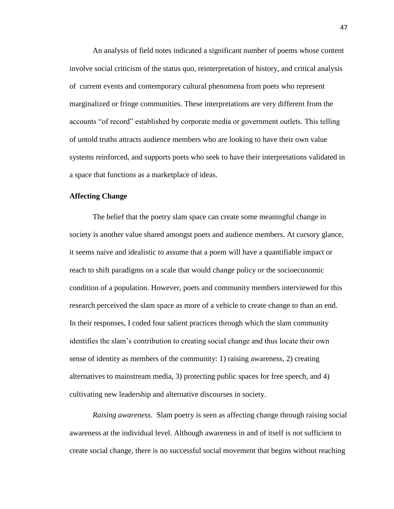An analysis of field notes indicated a significant number of poems whose content involve social criticism of the status quo, reinterpretation of history, and critical analysis of current events and contemporary cultural phenomena from poets who represent marginalized or fringe communities. These interpretations are very different from the accounts "of record" established by corporate media or government outlets. This telling of untold truths attracts audience members who are looking to have their own value systems reinforced, and supports poets who seek to have their interpretations validated in a space that functions as a marketplace of ideas.

# **Affecting Change**

The belief that the poetry slam space can create some meaningful change in society is another value shared amongst poets and audience members. At cursory glance, it seems naive and idealistic to assume that a poem will have a quantifiable impact or reach to shift paradigms on a scale that would change policy or the socioeconomic condition of a population. However, poets and community members interviewed for this research perceived the slam space as more of a vehicle to create change to than an end. In their responses, I coded four salient practices through which the slam community identifies the slam's contribution to creating social change and thus locate their own sense of identity as members of the community: 1) raising awareness, 2) creating alternatives to mainstream media, 3) protecting public spaces for free speech, and 4) cultivating new leadership and alternative discourses in society.

*Raising awareness*. Slam poetry is seen as affecting change through raising social awareness at the individual level. Although awareness in and of itself is not sufficient to create social change, there is no successful social movement that begins without reaching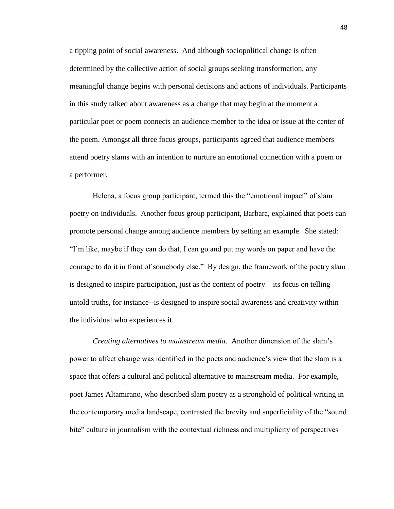a tipping point of social awareness. And although sociopolitical change is often determined by the collective action of social groups seeking transformation, any meaningful change begins with personal decisions and actions of individuals. Participants in this study talked about awareness as a change that may begin at the moment a particular poet or poem connects an audience member to the idea or issue at the center of the poem. Amongst all three focus groups, participants agreed that audience members attend poetry slams with an intention to nurture an emotional connection with a poem or a performer.

Helena, a focus group participant, termed this the "emotional impact" of slam poetry on individuals. Another focus group participant, Barbara, explained that poets can promote personal change among audience members by setting an example. She stated: "I'm like, maybe if they can do that, I can go and put my words on paper and have the courage to do it in front of somebody else." By design, the framework of the poetry slam is designed to inspire participation, just as the content of poetry—its focus on telling untold truths, for instance--is designed to inspire social awareness and creativity within the individual who experiences it.

*Creating alternatives to mainstream media*. Another dimension of the slam's power to affect change was identified in the poets and audience's view that the slam is a space that offers a cultural and political alternative to mainstream media. For example, poet James Altamirano, who described slam poetry as a stronghold of political writing in the contemporary media landscape, contrasted the brevity and superficiality of the "sound bite" culture in journalism with the contextual richness and multiplicity of perspectives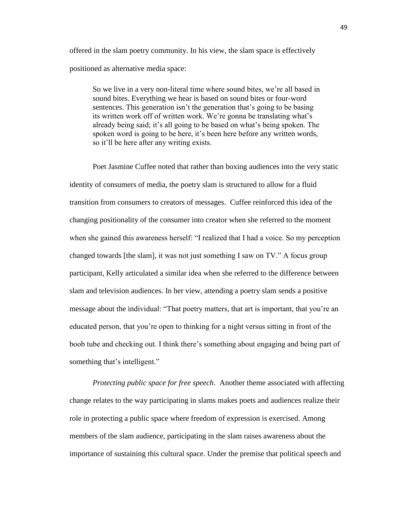offered in the slam poetry community. In his view, the slam space is effectively positioned as alternative media space:

So we live in a very non-literal time where sound bites, we're all based in sound bites. Everything we hear is based on sound bites or four-word sentences. This generation isn't the generation that's going to be basing its written work off of written work. We're gonna be translating what's already being said; it's all going to be based on what's being spoken. The spoken word is going to be here, it's been here before any written words, so it'll be here after any writing exists.

Poet Jasmine Cuffee noted that rather than boxing audiences into the very static identity of consumers of media, the poetry slam is structured to allow for a fluid transition from consumers to creators of messages. Cuffee reinforced this idea of the changing positionality of the consumer into creator when she referred to the moment when she gained this awareness herself: "I realized that I had a voice. So my perception changed towards [the slam], it was not just something I saw on TV." A focus group participant, Kelly articulated a similar idea when she referred to the difference between slam and television audiences. In her view, attending a poetry slam sends a positive message about the individual: "That poetry matters, that art is important, that you're an educated person, that you're open to thinking for a night versus sitting in front of the boob tube and checking out. I think there's something about engaging and being part of something that's intelligent."

*Protecting public space for free speech*. Another theme associated with affecting change relates to the way participating in slams makes poets and audiences realize their role in protecting a public space where freedom of expression is exercised. Among members of the slam audience, participating in the slam raises awareness about the importance of sustaining this cultural space. Under the premise that political speech and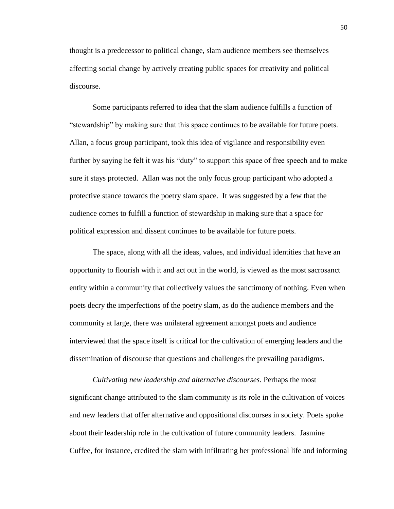thought is a predecessor to political change, slam audience members see themselves affecting social change by actively creating public spaces for creativity and political discourse.

Some participants referred to idea that the slam audience fulfills a function of "stewardship" by making sure that this space continues to be available for future poets. Allan, a focus group participant, took this idea of vigilance and responsibility even further by saying he felt it was his "duty" to support this space of free speech and to make sure it stays protected. Allan was not the only focus group participant who adopted a protective stance towards the poetry slam space. It was suggested by a few that the audience comes to fulfill a function of stewardship in making sure that a space for political expression and dissent continues to be available for future poets.

The space, along with all the ideas, values, and individual identities that have an opportunity to flourish with it and act out in the world, is viewed as the most sacrosanct entity within a community that collectively values the sanctimony of nothing. Even when poets decry the imperfections of the poetry slam, as do the audience members and the community at large, there was unilateral agreement amongst poets and audience interviewed that the space itself is critical for the cultivation of emerging leaders and the dissemination of discourse that questions and challenges the prevailing paradigms.

*Cultivating new leadership and alternative discourses.* Perhaps the most significant change attributed to the slam community is its role in the cultivation of voices and new leaders that offer alternative and oppositional discourses in society. Poets spoke about their leadership role in the cultivation of future community leaders. Jasmine Cuffee, for instance, credited the slam with infiltrating her professional life and informing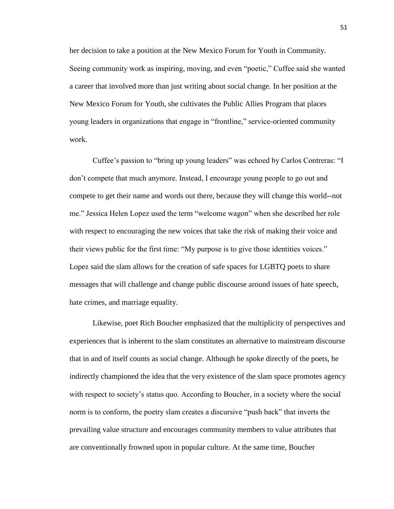her decision to take a position at the New Mexico Forum for Youth in Community. Seeing community work as inspiring, moving, and even "poetic," Cuffee said she wanted a career that involved more than just writing about social change. In her position at the New Mexico Forum for Youth, she cultivates the Public Allies Program that places young leaders in organizations that engage in "frontline," service-oriented community work.

Cuffee's passion to "bring up young leaders" was echoed by Carlos Contreras: "I don't compete that much anymore. Instead, I encourage young people to go out and compete to get their name and words out there, because they will change this world--not me." Jessica Helen Lopez used the term "welcome wagon" when she described her role with respect to encouraging the new voices that take the risk of making their voice and their views public for the first time: "My purpose is to give those identities voices." Lopez said the slam allows for the creation of safe spaces for LGBTQ poets to share messages that will challenge and change public discourse around issues of hate speech, hate crimes, and marriage equality.

Likewise, poet Rich Boucher emphasized that the multiplicity of perspectives and experiences that is inherent to the slam constitutes an alternative to mainstream discourse that in and of itself counts as social change. Although he spoke directly of the poets, he indirectly championed the idea that the very existence of the slam space promotes agency with respect to society's status quo. According to Boucher, in a society where the social norm is to conform, the poetry slam creates a discursive "push back" that inverts the prevailing value structure and encourages community members to value attributes that are conventionally frowned upon in popular culture. At the same time, Boucher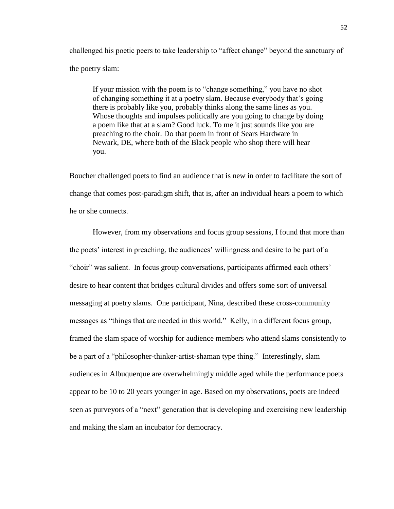challenged his poetic peers to take leadership to "affect change" beyond the sanctuary of the poetry slam:

If your mission with the poem is to "change something," you have no shot of changing something it at a poetry slam. Because everybody that's going there is probably like you, probably thinks along the same lines as you. Whose thoughts and impulses politically are you going to change by doing a poem like that at a slam? Good luck. To me it just sounds like you are preaching to the choir. Do that poem in front of Sears Hardware in Newark, DE, where both of the Black people who shop there will hear you.

Boucher challenged poets to find an audience that is new in order to facilitate the sort of change that comes post-paradigm shift, that is, after an individual hears a poem to which he or she connects.

However, from my observations and focus group sessions, I found that more than the poets' interest in preaching, the audiences' willingness and desire to be part of a "choir" was salient. In focus group conversations, participants affirmed each others' desire to hear content that bridges cultural divides and offers some sort of universal messaging at poetry slams. One participant, Nina, described these cross-community messages as "things that are needed in this world." Kelly, in a different focus group, framed the slam space of worship for audience members who attend slams consistently to be a part of a "philosopher-thinker-artist-shaman type thing." Interestingly, slam audiences in Albuquerque are overwhelmingly middle aged while the performance poets appear to be 10 to 20 years younger in age. Based on my observations, poets are indeed seen as purveyors of a "next" generation that is developing and exercising new leadership and making the slam an incubator for democracy.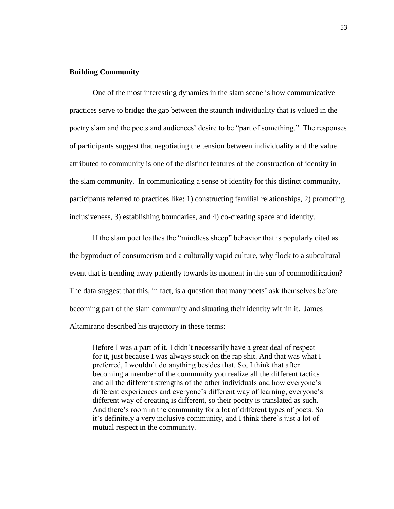## **Building Community**

One of the most interesting dynamics in the slam scene is how communicative practices serve to bridge the gap between the staunch individuality that is valued in the poetry slam and the poets and audiences' desire to be "part of something." The responses of participants suggest that negotiating the tension between individuality and the value attributed to community is one of the distinct features of the construction of identity in the slam community. In communicating a sense of identity for this distinct community, participants referred to practices like: 1) constructing familial relationships, 2) promoting inclusiveness, 3) establishing boundaries, and 4) co-creating space and identity.

If the slam poet loathes the "mindless sheep" behavior that is popularly cited as the byproduct of consumerism and a culturally vapid culture, why flock to a subcultural event that is trending away patiently towards its moment in the sun of commodification? The data suggest that this, in fact, is a question that many poets' ask themselves before becoming part of the slam community and situating their identity within it. James Altamirano described his trajectory in these terms:

Before I was a part of it, I didn't necessarily have a great deal of respect for it, just because I was always stuck on the rap shit. And that was what I preferred, I wouldn't do anything besides that. So, I think that after becoming a member of the community you realize all the different tactics and all the different strengths of the other individuals and how everyone's different experiences and everyone's different way of learning, everyone's different way of creating is different, so their poetry is translated as such. And there's room in the community for a lot of different types of poets. So it's definitely a very inclusive community, and I think there's just a lot of mutual respect in the community.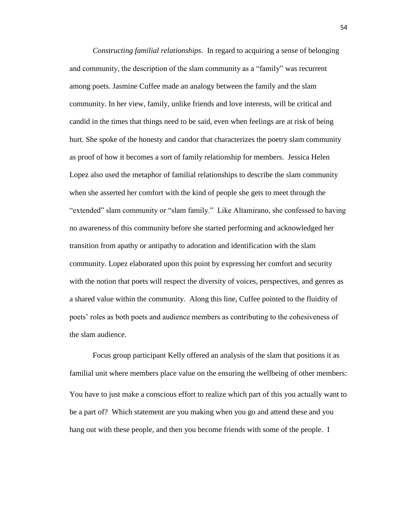*Constructing familial relationships*. In regard to acquiring a sense of belonging and community, the description of the slam community as a "family" was recurrent among poets. Jasmine Cuffee made an analogy between the family and the slam community. In her view, family, unlike friends and love interests, will be critical and candid in the times that things need to be said, even when feelings are at risk of being hurt. She spoke of the honesty and candor that characterizes the poetry slam community as proof of how it becomes a sort of family relationship for members. Jessica Helen Lopez also used the metaphor of familial relationships to describe the slam community when she asserted her comfort with the kind of people she gets to meet through the "extended" slam community or "slam family." Like Altamirano, she confessed to having no awareness of this community before she started performing and acknowledged her transition from apathy or antipathy to adoration and identification with the slam community. Lopez elaborated upon this point by expressing her comfort and security with the notion that poets will respect the diversity of voices, perspectives, and genres as a shared value within the community. Along this line, Cuffee pointed to the fluidity of poets' roles as both poets and audience members as contributing to the cohesiveness of the slam audience.

Focus group participant Kelly offered an analysis of the slam that positions it as familial unit where members place value on the ensuring the wellbeing of other members: You have to just make a conscious effort to realize which part of this you actually want to be a part of? Which statement are you making when you go and attend these and you hang out with these people, and then you become friends with some of the people. I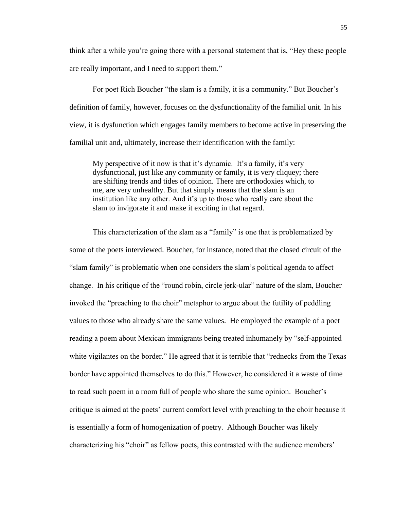think after a while you're going there with a personal statement that is, "Hey these people are really important, and I need to support them."

For poet Rich Boucher "the slam is a family, it is a community." But Boucher's definition of family, however, focuses on the dysfunctionality of the familial unit. In his view, it is dysfunction which engages family members to become active in preserving the familial unit and, ultimately, increase their identification with the family:

My perspective of it now is that it's dynamic. It's a family, it's very dysfunctional, just like any community or family, it is very cliquey; there are shifting trends and tides of opinion. There are orthodoxies which, to me, are very unhealthy. But that simply means that the slam is an institution like any other. And it's up to those who really care about the slam to invigorate it and make it exciting in that regard.

This characterization of the slam as a "family" is one that is problematized by some of the poets interviewed. Boucher, for instance, noted that the closed circuit of the "slam family" is problematic when one considers the slam's political agenda to affect change. In his critique of the "round robin, circle jerk-ular" nature of the slam, Boucher invoked the "preaching to the choir" metaphor to argue about the futility of peddling values to those who already share the same values. He employed the example of a poet reading a poem about Mexican immigrants being treated inhumanely by "self-appointed white vigilantes on the border." He agreed that it is terrible that "rednecks from the Texas border have appointed themselves to do this." However, he considered it a waste of time to read such poem in a room full of people who share the same opinion. Boucher's critique is aimed at the poets' current comfort level with preaching to the choir because it is essentially a form of homogenization of poetry. Although Boucher was likely characterizing his "choir" as fellow poets, this contrasted with the audience members'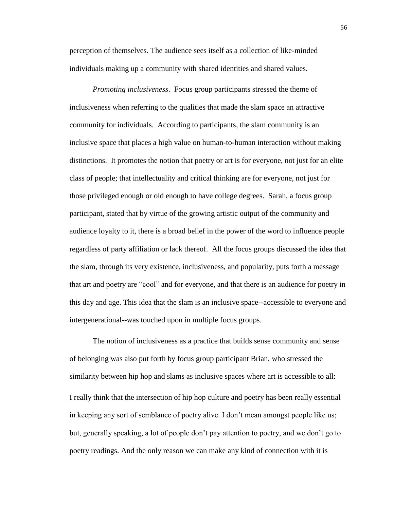perception of themselves. The audience sees itself as a collection of like-minded individuals making up a community with shared identities and shared values.

*Promoting inclusiveness*. Focus group participants stressed the theme of inclusiveness when referring to the qualities that made the slam space an attractive community for individuals. According to participants, the slam community is an inclusive space that places a high value on human-to-human interaction without making distinctions. It promotes the notion that poetry or art is for everyone, not just for an elite class of people; that intellectuality and critical thinking are for everyone, not just for those privileged enough or old enough to have college degrees. Sarah, a focus group participant, stated that by virtue of the growing artistic output of the community and audience loyalty to it, there is a broad belief in the power of the word to influence people regardless of party affiliation or lack thereof. All the focus groups discussed the idea that the slam, through its very existence, inclusiveness, and popularity, puts forth a message that art and poetry are "cool" and for everyone, and that there is an audience for poetry in this day and age. This idea that the slam is an inclusive space--accessible to everyone and intergenerational--was touched upon in multiple focus groups.

The notion of inclusiveness as a practice that builds sense community and sense of belonging was also put forth by focus group participant Brian, who stressed the similarity between hip hop and slams as inclusive spaces where art is accessible to all: I really think that the intersection of hip hop culture and poetry has been really essential in keeping any sort of semblance of poetry alive. I don't mean amongst people like us; but, generally speaking, a lot of people don't pay attention to poetry, and we don't go to poetry readings. And the only reason we can make any kind of connection with it is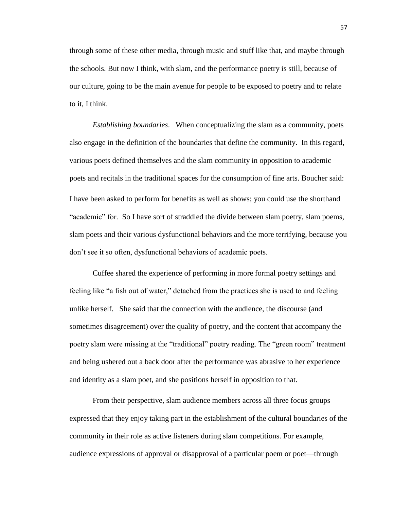through some of these other media, through music and stuff like that, and maybe through the schools. But now I think, with slam, and the performance poetry is still, because of our culture, going to be the main avenue for people to be exposed to poetry and to relate to it, I think.

*Establishing boundaries*. When conceptualizing the slam as a community, poets also engage in the definition of the boundaries that define the community. In this regard, various poets defined themselves and the slam community in opposition to academic poets and recitals in the traditional spaces for the consumption of fine arts. Boucher said: I have been asked to perform for benefits as well as shows; you could use the shorthand "academic" for. So I have sort of straddled the divide between slam poetry, slam poems, slam poets and their various dysfunctional behaviors and the more terrifying, because you don't see it so often, dysfunctional behaviors of academic poets.

Cuffee shared the experience of performing in more formal poetry settings and feeling like "a fish out of water," detached from the practices she is used to and feeling unlike herself. She said that the connection with the audience, the discourse (and sometimes disagreement) over the quality of poetry, and the content that accompany the poetry slam were missing at the "traditional" poetry reading. The "green room" treatment and being ushered out a back door after the performance was abrasive to her experience and identity as a slam poet, and she positions herself in opposition to that.

From their perspective, slam audience members across all three focus groups expressed that they enjoy taking part in the establishment of the cultural boundaries of the community in their role as active listeners during slam competitions. For example, audience expressions of approval or disapproval of a particular poem or poet—through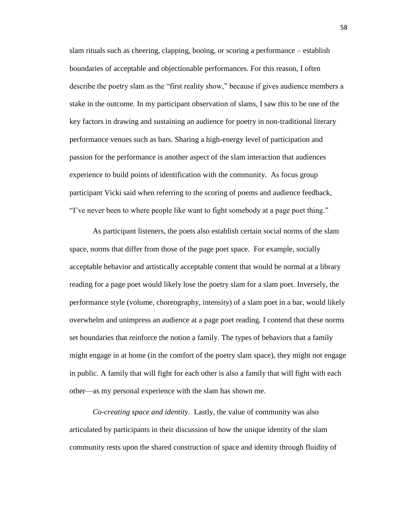slam rituals such as cheering, clapping, booing, or scoring a performance – establish boundaries of acceptable and objectionable performances. For this reason, I often describe the poetry slam as the "first reality show," because if gives audience members a stake in the outcome. In my participant observation of slams, I saw this to be one of the key factors in drawing and sustaining an audience for poetry in non-traditional literary performance venues such as bars. Sharing a high-energy level of participation and passion for the performance is another aspect of the slam interaction that audiences experience to build points of identification with the community. As focus group participant Vicki said when referring to the scoring of poems and audience feedback, "I've never been to where people like want to fight somebody at a page poet thing."

As participant listeners, the poets also establish certain social norms of the slam space, norms that differ from those of the page poet space. For example, socially acceptable behavior and artistically acceptable content that would be normal at a library reading for a page poet would likely lose the poetry slam for a slam poet. Inversely, the performance style (volume, choreography, intensity) of a slam poet in a bar, would likely overwhelm and unimpress an audience at a page poet reading. I contend that these norms set boundaries that reinforce the notion a family. The types of behaviors that a family might engage in at home (in the comfort of the poetry slam space), they might not engage in public. A family that will fight for each other is also a family that will fight with each other—as my personal experience with the slam has shown me.

*Co-creating space and identity*. Lastly, the value of community was also articulated by participants in their discussion of how the unique identity of the slam community rests upon the shared construction of space and identity through fluidity of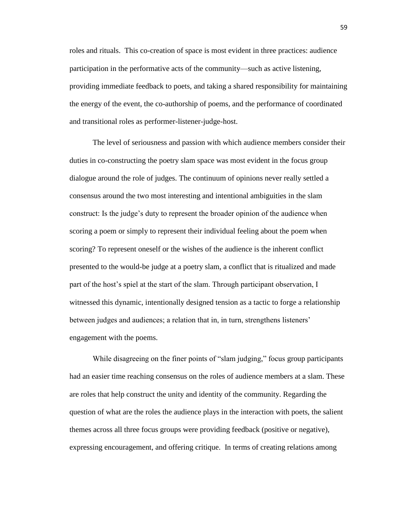roles and rituals. This co-creation of space is most evident in three practices: audience participation in the performative acts of the community—such as active listening, providing immediate feedback to poets, and taking a shared responsibility for maintaining the energy of the event, the co-authorship of poems, and the performance of coordinated and transitional roles as performer-listener-judge-host.

The level of seriousness and passion with which audience members consider their duties in co-constructing the poetry slam space was most evident in the focus group dialogue around the role of judges. The continuum of opinions never really settled a consensus around the two most interesting and intentional ambiguities in the slam construct: Is the judge's duty to represent the broader opinion of the audience when scoring a poem or simply to represent their individual feeling about the poem when scoring? To represent oneself or the wishes of the audience is the inherent conflict presented to the would-be judge at a poetry slam, a conflict that is ritualized and made part of the host's spiel at the start of the slam. Through participant observation, I witnessed this dynamic, intentionally designed tension as a tactic to forge a relationship between judges and audiences; a relation that in, in turn, strengthens listeners' engagement with the poems.

While disagreeing on the finer points of "slam judging," focus group participants had an easier time reaching consensus on the roles of audience members at a slam. These are roles that help construct the unity and identity of the community. Regarding the question of what are the roles the audience plays in the interaction with poets, the salient themes across all three focus groups were providing feedback (positive or negative), expressing encouragement, and offering critique. In terms of creating relations among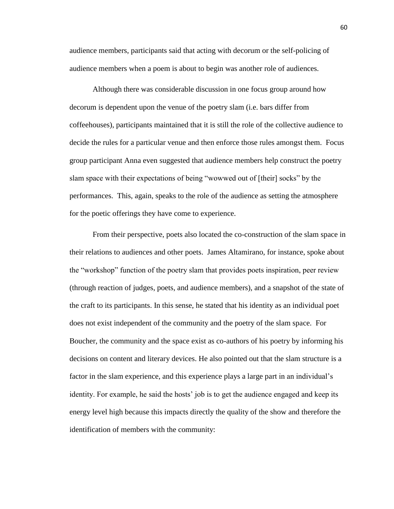audience members, participants said that acting with decorum or the self-policing of audience members when a poem is about to begin was another role of audiences.

Although there was considerable discussion in one focus group around how decorum is dependent upon the venue of the poetry slam (i.e. bars differ from coffeehouses), participants maintained that it is still the role of the collective audience to decide the rules for a particular venue and then enforce those rules amongst them. Focus group participant Anna even suggested that audience members help construct the poetry slam space with their expectations of being "wowwed out of [their] socks" by the performances. This, again, speaks to the role of the audience as setting the atmosphere for the poetic offerings they have come to experience.

From their perspective, poets also located the co-construction of the slam space in their relations to audiences and other poets. James Altamirano, for instance, spoke about the "workshop" function of the poetry slam that provides poets inspiration, peer review (through reaction of judges, poets, and audience members), and a snapshot of the state of the craft to its participants. In this sense, he stated that his identity as an individual poet does not exist independent of the community and the poetry of the slam space. For Boucher, the community and the space exist as co-authors of his poetry by informing his decisions on content and literary devices. He also pointed out that the slam structure is a factor in the slam experience, and this experience plays a large part in an individual's identity. For example, he said the hosts' job is to get the audience engaged and keep its energy level high because this impacts directly the quality of the show and therefore the identification of members with the community: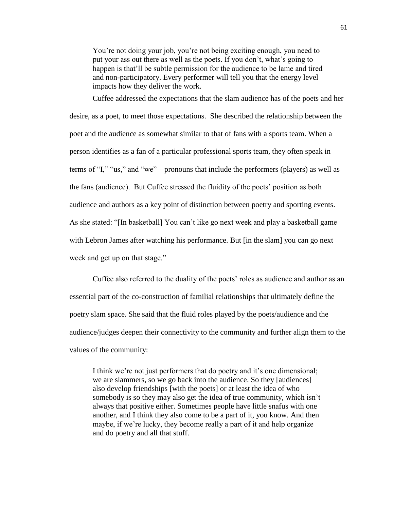You're not doing your job, you're not being exciting enough, you need to put your ass out there as well as the poets. If you don't, what's going to happen is that'll be subtle permission for the audience to be lame and tired and non-participatory. Every performer will tell you that the energy level impacts how they deliver the work.

Cuffee addressed the expectations that the slam audience has of the poets and her desire, as a poet, to meet those expectations. She described the relationship between the poet and the audience as somewhat similar to that of fans with a sports team. When a person identifies as a fan of a particular professional sports team, they often speak in terms of "I," "us," and "we"—pronouns that include the performers (players) as well as the fans (audience). But Cuffee stressed the fluidity of the poets' position as both audience and authors as a key point of distinction between poetry and sporting events. As she stated: "[In basketball] You can't like go next week and play a basketball game with Lebron James after watching his performance. But [in the slam] you can go next week and get up on that stage."

Cuffee also referred to the duality of the poets' roles as audience and author as an essential part of the co-construction of familial relationships that ultimately define the poetry slam space. She said that the fluid roles played by the poets/audience and the audience/judges deepen their connectivity to the community and further align them to the values of the community:

I think we're not just performers that do poetry and it's one dimensional; we are slammers, so we go back into the audience. So they [audiences] also develop friendships [with the poets] or at least the idea of who somebody is so they may also get the idea of true community, which isn't always that positive either. Sometimes people have little snafus with one another, and I think they also come to be a part of it, you know. And then maybe, if we're lucky, they become really a part of it and help organize and do poetry and all that stuff.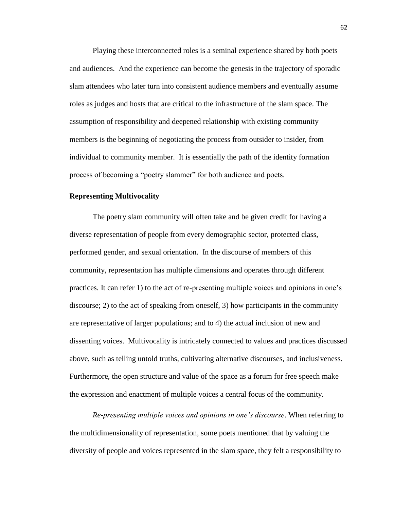Playing these interconnected roles is a seminal experience shared by both poets and audiences. And the experience can become the genesis in the trajectory of sporadic slam attendees who later turn into consistent audience members and eventually assume roles as judges and hosts that are critical to the infrastructure of the slam space. The assumption of responsibility and deepened relationship with existing community members is the beginning of negotiating the process from outsider to insider, from individual to community member. It is essentially the path of the identity formation process of becoming a "poetry slammer" for both audience and poets.

## **Representing Multivocality**

The poetry slam community will often take and be given credit for having a diverse representation of people from every demographic sector, protected class, performed gender, and sexual orientation. In the discourse of members of this community, representation has multiple dimensions and operates through different practices. It can refer 1) to the act of re-presenting multiple voices and opinions in one's discourse; 2) to the act of speaking from oneself, 3) how participants in the community are representative of larger populations; and to 4) the actual inclusion of new and dissenting voices. Multivocality is intricately connected to values and practices discussed above, such as telling untold truths, cultivating alternative discourses, and inclusiveness. Furthermore, the open structure and value of the space as a forum for free speech make the expression and enactment of multiple voices a central focus of the community.

*Re-presenting multiple voices and opinions in one's discourse*. When referring to the multidimensionality of representation, some poets mentioned that by valuing the diversity of people and voices represented in the slam space, they felt a responsibility to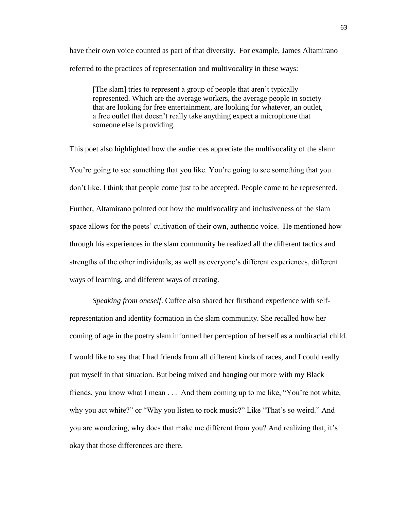have their own voice counted as part of that diversity. For example, James Altamirano referred to the practices of representation and multivocality in these ways:

[The slam] tries to represent a group of people that aren't typically represented. Which are the average workers, the average people in society that are looking for free entertainment, are looking for whatever, an outlet, a free outlet that doesn't really take anything expect a microphone that someone else is providing.

This poet also highlighted how the audiences appreciate the multivocality of the slam: You're going to see something that you like. You're going to see something that you don't like. I think that people come just to be accepted. People come to be represented. Further, Altamirano pointed out how the multivocality and inclusiveness of the slam space allows for the poets' cultivation of their own, authentic voice. He mentioned how through his experiences in the slam community he realized all the different tactics and strengths of the other individuals, as well as everyone's different experiences, different ways of learning, and different ways of creating.

*Speaking from oneself*. Cuffee also shared her firsthand experience with selfrepresentation and identity formation in the slam community. She recalled how her coming of age in the poetry slam informed her perception of herself as a multiracial child. I would like to say that I had friends from all different kinds of races, and I could really put myself in that situation. But being mixed and hanging out more with my Black friends, you know what I mean . . . And them coming up to me like, "You're not white, why you act white?" or "Why you listen to rock music?" Like "That's so weird." And you are wondering, why does that make me different from you? And realizing that, it's okay that those differences are there.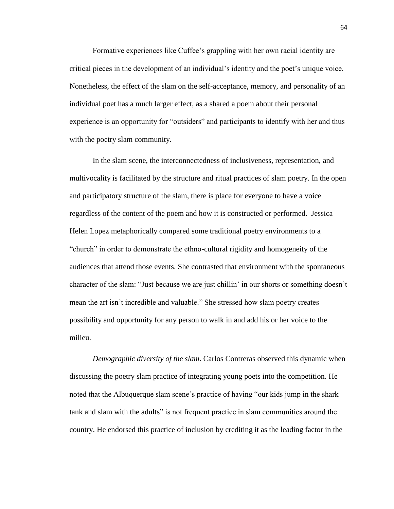Formative experiences like Cuffee's grappling with her own racial identity are critical pieces in the development of an individual's identity and the poet's unique voice. Nonetheless, the effect of the slam on the self-acceptance, memory, and personality of an individual poet has a much larger effect, as a shared a poem about their personal experience is an opportunity for "outsiders" and participants to identify with her and thus with the poetry slam community.

In the slam scene, the interconnectedness of inclusiveness, representation, and multivocality is facilitated by the structure and ritual practices of slam poetry. In the open and participatory structure of the slam, there is place for everyone to have a voice regardless of the content of the poem and how it is constructed or performed. Jessica Helen Lopez metaphorically compared some traditional poetry environments to a "church" in order to demonstrate the ethno-cultural rigidity and homogeneity of the audiences that attend those events. She contrasted that environment with the spontaneous character of the slam: "Just because we are just chillin' in our shorts or something doesn't mean the art isn't incredible and valuable." She stressed how slam poetry creates possibility and opportunity for any person to walk in and add his or her voice to the milieu.

*Demographic diversity of the slam*. Carlos Contreras observed this dynamic when discussing the poetry slam practice of integrating young poets into the competition. He noted that the Albuquerque slam scene's practice of having "our kids jump in the shark tank and slam with the adults" is not frequent practice in slam communities around the country. He endorsed this practice of inclusion by crediting it as the leading factor in the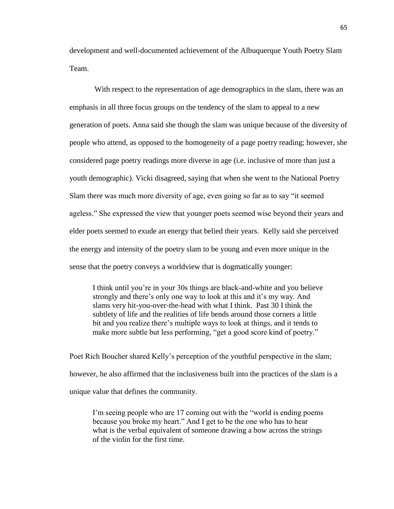development and well-documented achievement of the Albuquerque Youth Poetry Slam Team.

With respect to the representation of age demographics in the slam, there was an emphasis in all three focus groups on the tendency of the slam to appeal to a new generation of poets. Anna said she though the slam was unique because of the diversity of people who attend, as opposed to the homogeneity of a page poetry reading; however, she considered page poetry readings more diverse in age (i.e. inclusive of more than just a youth demographic). Vicki disagreed, saying that when she went to the National Poetry Slam there was much more diversity of age, even going so far as to say "it seemed ageless." She expressed the view that younger poets seemed wise beyond their years and elder poets seemed to exude an energy that belied their years. Kelly said she perceived the energy and intensity of the poetry slam to be young and even more unique in the sense that the poetry conveys a worldview that is dogmatically younger:

I think until you're in your 30s things are black-and-white and you believe strongly and there's only one way to look at this and it's my way. And slams very hit-you-over-the-head with what I think. Past 30 I think the subtlety of life and the realities of life bends around those corners a little bit and you realize there's multiple ways to look at things, and it tends to make more subtle but less performing, "get a good score kind of poetry."

Poet Rich Boucher shared Kelly's perception of the youthful perspective in the slam; however, he also affirmed that the inclusiveness built into the practices of the slam is a unique value that defines the community.

I'm seeing people who are 17 coming out with the "world is ending poems because you broke my heart." And I get to be the one who has to hear what is the verbal equivalent of someone drawing a bow across the strings of the violin for the first time.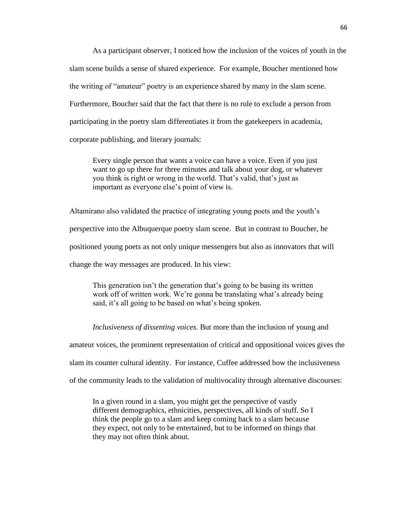As a participant observer, I noticed how the inclusion of the voices of youth in the slam scene builds a sense of shared experience. For example, Boucher mentioned how the writing of "amateur" poetry is an experience shared by many in the slam scene. Furthermore, Boucher said that the fact that there is no rule to exclude a person from participating in the poetry slam differentiates it from the gatekeepers in academia, corporate publishing, and literary journals:

Every single person that wants a voice can have a voice. Even if you just want to go up there for three minutes and talk about your dog, or whatever you think is right or wrong in the world. That's valid, that's just as important as everyone else's point of view is.

Altamirano also validated the practice of integrating young poets and the youth's perspective into the Albuquerque poetry slam scene. But in contrast to Boucher, he positioned young poets as not only unique messengers but also as innovators that will change the way messages are produced. In his view:

This generation isn't the generation that's going to be basing its written work off of written work. We're gonna be translating what's already being said, it's all going to be based on what's being spoken.

*Inclusiveness of dissenting voices*. But more than the inclusion of young and

amateur voices, the prominent representation of critical and oppositional voices gives the

slam its counter cultural identity. For instance, Cuffee addressed how the inclusiveness

of the community leads to the validation of multivocality through alternative discourses:

In a given round in a slam, you might get the perspective of vastly different demographics, ethnicities, perspectives, all kinds of stuff. So I think the people go to a slam and keep coming back to a slam because they expect, not only to be entertained, but to be informed on things that they may not often think about.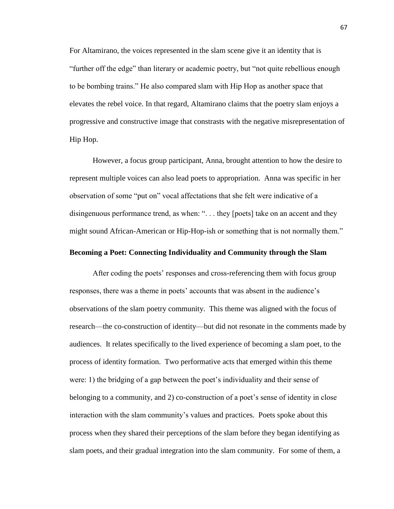For Altamirano, the voices represented in the slam scene give it an identity that is "further off the edge" than literary or academic poetry, but "not quite rebellious enough to be bombing trains." He also compared slam with Hip Hop as another space that elevates the rebel voice. In that regard, Altamirano claims that the poetry slam enjoys a progressive and constructive image that constrasts with the negative misrepresentation of Hip Hop.

However, a focus group participant, Anna, brought attention to how the desire to represent multiple voices can also lead poets to appropriation. Anna was specific in her observation of some "put on" vocal affectations that she felt were indicative of a disingenuous performance trend, as when: ". . . they [poets] take on an accent and they might sound African-American or Hip-Hop-ish or something that is not normally them."

## **Becoming a Poet: Connecting Individuality and Community through the Slam**

After coding the poets' responses and cross-referencing them with focus group responses, there was a theme in poets' accounts that was absent in the audience's observations of the slam poetry community. This theme was aligned with the focus of research—the co-construction of identity—but did not resonate in the comments made by audiences. It relates specifically to the lived experience of becoming a slam poet, to the process of identity formation. Two performative acts that emerged within this theme were: 1) the bridging of a gap between the poet's individuality and their sense of belonging to a community, and 2) co-construction of a poet's sense of identity in close interaction with the slam community's values and practices. Poets spoke about this process when they shared their perceptions of the slam before they began identifying as slam poets, and their gradual integration into the slam community. For some of them, a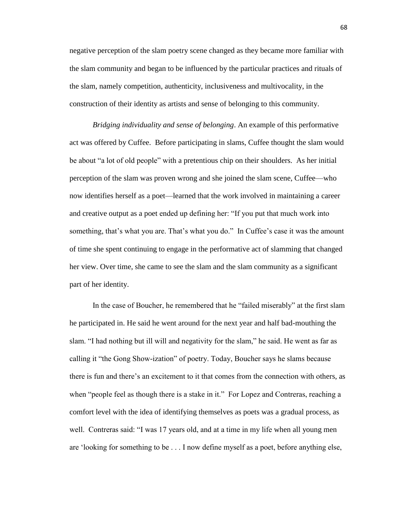negative perception of the slam poetry scene changed as they became more familiar with the slam community and began to be influenced by the particular practices and rituals of the slam, namely competition, authenticity, inclusiveness and multivocality, in the construction of their identity as artists and sense of belonging to this community.

*Bridging individuality and sense of belonging*. An example of this performative act was offered by Cuffee. Before participating in slams, Cuffee thought the slam would be about "a lot of old people" with a pretentious chip on their shoulders. As her initial perception of the slam was proven wrong and she joined the slam scene, Cuffee—who now identifies herself as a poet—learned that the work involved in maintaining a career and creative output as a poet ended up defining her: "If you put that much work into something, that's what you are. That's what you do." In Cuffee's case it was the amount of time she spent continuing to engage in the performative act of slamming that changed her view. Over time, she came to see the slam and the slam community as a significant part of her identity.

In the case of Boucher, he remembered that he "failed miserably" at the first slam he participated in. He said he went around for the next year and half bad-mouthing the slam. "I had nothing but ill will and negativity for the slam," he said. He went as far as calling it "the Gong Show-ization" of poetry. Today, Boucher says he slams because there is fun and there's an excitement to it that comes from the connection with others, as when "people feel as though there is a stake in it." For Lopez and Contreras, reaching a comfort level with the idea of identifying themselves as poets was a gradual process, as well. Contreras said: "I was 17 years old, and at a time in my life when all young men are 'looking for something to be . . . I now define myself as a poet, before anything else,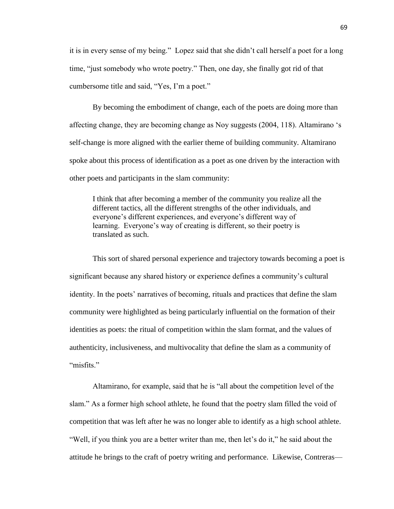it is in every sense of my being." Lopez said that she didn't call herself a poet for a long time, "just somebody who wrote poetry." Then, one day, she finally got rid of that cumbersome title and said, "Yes, I'm a poet."

By becoming the embodiment of change, each of the poets are doing more than affecting change, they are becoming change as Noy suggests (2004, 118). Altamirano 's self-change is more aligned with the earlier theme of building community. Altamirano spoke about this process of identification as a poet as one driven by the interaction with other poets and participants in the slam community:

I think that after becoming a member of the community you realize all the different tactics, all the different strengths of the other individuals, and everyone's different experiences, and everyone's different way of learning. Everyone's way of creating is different, so their poetry is translated as such.

This sort of shared personal experience and trajectory towards becoming a poet is significant because any shared history or experience defines a community's cultural identity. In the poets' narratives of becoming, rituals and practices that define the slam community were highlighted as being particularly influential on the formation of their identities as poets: the ritual of competition within the slam format, and the values of authenticity, inclusiveness, and multivocality that define the slam as a community of "misfits."

Altamirano, for example, said that he is "all about the competition level of the slam." As a former high school athlete, he found that the poetry slam filled the void of competition that was left after he was no longer able to identify as a high school athlete. "Well, if you think you are a better writer than me, then let's do it," he said about the attitude he brings to the craft of poetry writing and performance. Likewise, Contreras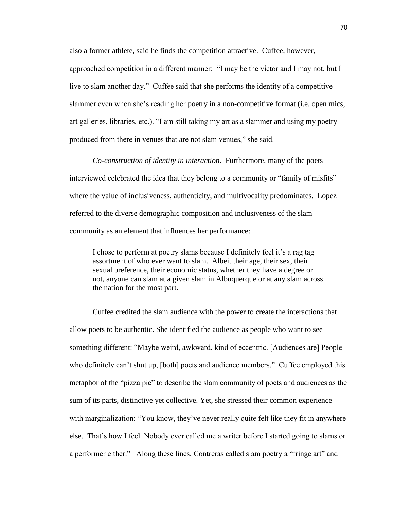also a former athlete, said he finds the competition attractive. Cuffee, however, approached competition in a different manner: "I may be the victor and I may not, but I live to slam another day." Cuffee said that she performs the identity of a competitive slammer even when she's reading her poetry in a non-competitive format (i.e. open mics, art galleries, libraries, etc.). "I am still taking my art as a slammer and using my poetry produced from there in venues that are not slam venues," she said.

*Co-construction of identity in interaction*. Furthermore, many of the poets interviewed celebrated the idea that they belong to a community or "family of misfits" where the value of inclusiveness, authenticity, and multivocality predominates. Lopez referred to the diverse demographic composition and inclusiveness of the slam community as an element that influences her performance:

I chose to perform at poetry slams because I definitely feel it's a rag tag assortment of who ever want to slam. Albeit their age, their sex, their sexual preference, their economic status, whether they have a degree or not, anyone can slam at a given slam in Albuquerque or at any slam across the nation for the most part.

Cuffee credited the slam audience with the power to create the interactions that allow poets to be authentic. She identified the audience as people who want to see something different: "Maybe weird, awkward, kind of eccentric. [Audiences are] People who definitely can't shut up, [both] poets and audience members." Cuffee employed this metaphor of the "pizza pie" to describe the slam community of poets and audiences as the sum of its parts, distinctive yet collective. Yet, she stressed their common experience with marginalization: "You know, they've never really quite felt like they fit in anywhere else. That's how I feel. Nobody ever called me a writer before I started going to slams or a performer either." Along these lines, Contreras called slam poetry a "fringe art" and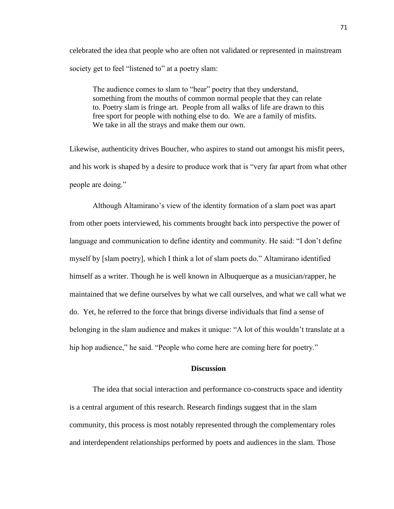celebrated the idea that people who are often not validated or represented in mainstream society get to feel "listened to" at a poetry slam:

The audience comes to slam to "hear" poetry that they understand, something from the mouths of common normal people that they can relate to. Poetry slam is fringe art. People from all walks of life are drawn to this free sport for people with nothing else to do. We are a family of misfits. We take in all the strays and make them our own.

Likewise, authenticity drives Boucher, who aspires to stand out amongst his misfit peers, and his work is shaped by a desire to produce work that is "very far apart from what other people are doing."

Although Altamirano's view of the identity formation of a slam poet was apart from other poets interviewed, his comments brought back into perspective the power of language and communication to define identity and community. He said: "I don't define myself by [slam poetry], which I think a lot of slam poets do." Altamirano identified himself as a writer. Though he is well known in Albuquerque as a musician/rapper, he maintained that we define ourselves by what we call ourselves, and what we call what we do. Yet, he referred to the force that brings diverse individuals that find a sense of belonging in the slam audience and makes it unique: "A lot of this wouldn't translate at a hip hop audience," he said. "People who come here are coming here for poetry."

## **Discussion**

The idea that social interaction and performance co-constructs space and identity is a central argument of this research. Research findings suggest that in the slam community, this process is most notably represented through the complementary roles and interdependent relationships performed by poets and audiences in the slam. Those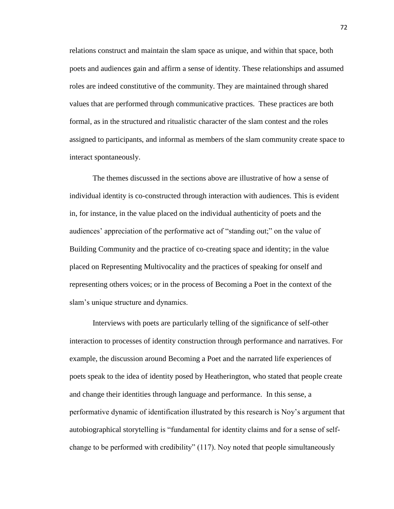relations construct and maintain the slam space as unique, and within that space, both poets and audiences gain and affirm a sense of identity. These relationships and assumed roles are indeed constitutive of the community. They are maintained through shared values that are performed through communicative practices. These practices are both formal, as in the structured and ritualistic character of the slam contest and the roles assigned to participants, and informal as members of the slam community create space to interact spontaneously.

The themes discussed in the sections above are illustrative of how a sense of individual identity is co-constructed through interaction with audiences. This is evident in, for instance, in the value placed on the individual authenticity of poets and the audiences' appreciation of the performative act of "standing out;" on the value of Building Community and the practice of co-creating space and identity; in the value placed on Representing Multivocality and the practices of speaking for onself and representing others voices; or in the process of Becoming a Poet in the context of the slam's unique structure and dynamics.

Interviews with poets are particularly telling of the significance of self-other interaction to processes of identity construction through performance and narratives. For example, the discussion around Becoming a Poet and the narrated life experiences of poets speak to the idea of identity posed by Heatherington, who stated that people create and change their identities through language and performance. In this sense, a performative dynamic of identification illustrated by this research is Noy's argument that autobiographical storytelling is "fundamental for identity claims and for a sense of selfchange to be performed with credibility" (117). Noy noted that people simultaneously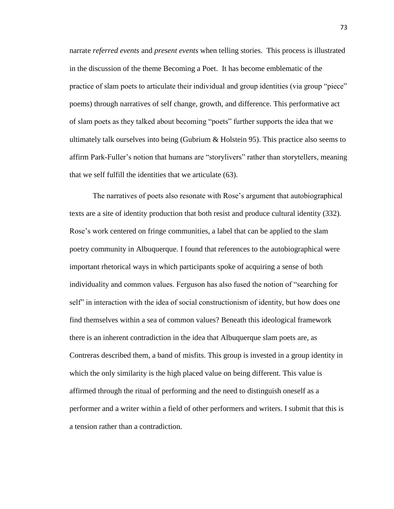narrate *referred events* and *present events* when telling stories. This process is illustrated in the discussion of the theme Becoming a Poet. It has become emblematic of the practice of slam poets to articulate their individual and group identities (via group "piece" poems) through narratives of self change, growth, and difference. This performative act of slam poets as they talked about becoming "poets" further supports the idea that we ultimately talk ourselves into being (Gubrium  $\&$  Holstein 95). This practice also seems to affirm Park-Fuller's notion that humans are "storylivers" rather than storytellers, meaning that we self fulfill the identities that we articulate (63).

The narratives of poets also resonate with Rose's argument that autobiographical texts are a site of identity production that both resist and produce cultural identity (332). Rose's work centered on fringe communities, a label that can be applied to the slam poetry community in Albuquerque. I found that references to the autobiographical were important rhetorical ways in which participants spoke of acquiring a sense of both individuality and common values. Ferguson has also fused the notion of "searching for self" in interaction with the idea of social constructionism of identity, but how does one find themselves within a sea of common values? Beneath this ideological framework there is an inherent contradiction in the idea that Albuquerque slam poets are, as Contreras described them, a band of misfits. This group is invested in a group identity in which the only similarity is the high placed value on being different. This value is affirmed through the ritual of performing and the need to distinguish oneself as a performer and a writer within a field of other performers and writers. I submit that this is a tension rather than a contradiction.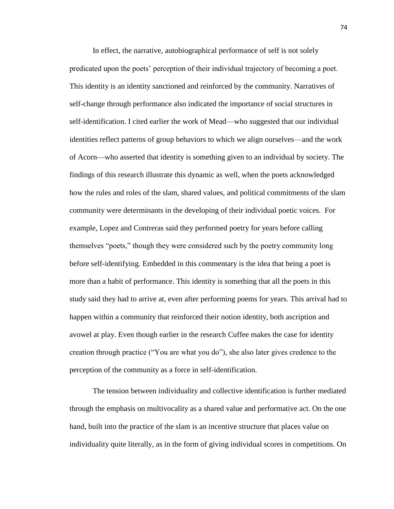In effect, the narrative, autobiographical performance of self is not solely predicated upon the poets' perception of their individual trajectory of becoming a poet. This identity is an identity sanctioned and reinforced by the community. Narratives of self-change through performance also indicated the importance of social structures in self-identification. I cited earlier the work of Mead—who suggested that our individual identities reflect patterns of group behaviors to which we align ourselves—and the work of Acorn—who asserted that identity is something given to an individual by society. The findings of this research illustrate this dynamic as well, when the poets acknowledged how the rules and roles of the slam, shared values, and political commitments of the slam community were determinants in the developing of their individual poetic voices. For example, Lopez and Contreras said they performed poetry for years before calling themselves "poets," though they were considered such by the poetry community long before self-identifying. Embedded in this commentary is the idea that being a poet is more than a habit of performance. This identity is something that all the poets in this study said they had to arrive at, even after performing poems for years. This arrival had to happen within a community that reinforced their notion identity, both ascription and avowel at play. Even though earlier in the research Cuffee makes the case for identity creation through practice ("You are what you do"), she also later gives credence to the perception of the community as a force in self-identification.

The tension between individuality and collective identification is further mediated through the emphasis on multivocality as a shared value and performative act. On the one hand, built into the practice of the slam is an incentive structure that places value on individuality quite literally, as in the form of giving individual scores in competitions. On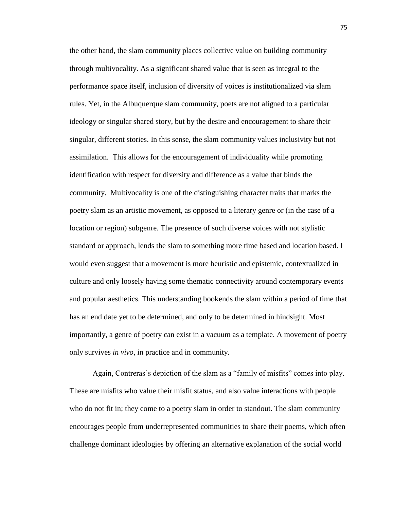the other hand, the slam community places collective value on building community through multivocality. As a significant shared value that is seen as integral to the performance space itself, inclusion of diversity of voices is institutionalized via slam rules. Yet, in the Albuquerque slam community, poets are not aligned to a particular ideology or singular shared story, but by the desire and encouragement to share their singular, different stories. In this sense, the slam community values inclusivity but not assimilation. This allows for the encouragement of individuality while promoting identification with respect for diversity and difference as a value that binds the community. Multivocality is one of the distinguishing character traits that marks the poetry slam as an artistic movement, as opposed to a literary genre or (in the case of a location or region) subgenre. The presence of such diverse voices with not stylistic standard or approach, lends the slam to something more time based and location based. I would even suggest that a movement is more heuristic and epistemic, contextualized in culture and only loosely having some thematic connectivity around contemporary events and popular aesthetics. This understanding bookends the slam within a period of time that has an end date yet to be determined, and only to be determined in hindsight. Most importantly, a genre of poetry can exist in a vacuum as a template. A movement of poetry only survives *in vivo*, in practice and in community.

Again, Contreras's depiction of the slam as a "family of misfits" comes into play. These are misfits who value their misfit status, and also value interactions with people who do not fit in; they come to a poetry slam in order to standout. The slam community encourages people from underrepresented communities to share their poems, which often challenge dominant ideologies by offering an alternative explanation of the social world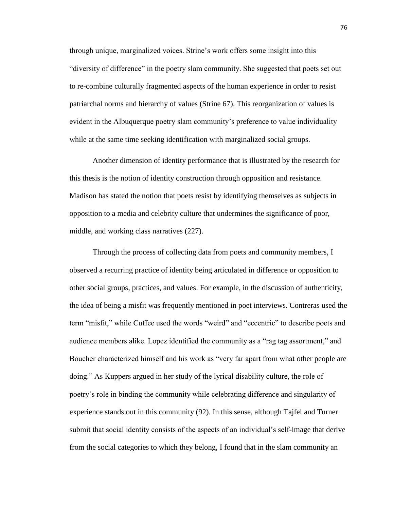through unique, marginalized voices. Strine's work offers some insight into this "diversity of difference" in the poetry slam community. She suggested that poets set out to re-combine culturally fragmented aspects of the human experience in order to resist patriarchal norms and hierarchy of values (Strine 67). This reorganization of values is evident in the Albuquerque poetry slam community's preference to value individuality while at the same time seeking identification with marginalized social groups.

Another dimension of identity performance that is illustrated by the research for this thesis is the notion of identity construction through opposition and resistance. Madison has stated the notion that poets resist by identifying themselves as subjects in opposition to a media and celebrity culture that undermines the significance of poor, middle, and working class narratives (227).

Through the process of collecting data from poets and community members, I observed a recurring practice of identity being articulated in difference or opposition to other social groups, practices, and values. For example, in the discussion of authenticity, the idea of being a misfit was frequently mentioned in poet interviews. Contreras used the term "misfit," while Cuffee used the words "weird" and "eccentric" to describe poets and audience members alike. Lopez identified the community as a "rag tag assortment," and Boucher characterized himself and his work as "very far apart from what other people are doing." As Kuppers argued in her study of the lyrical disability culture, the role of poetry's role in binding the community while celebrating difference and singularity of experience stands out in this community (92). In this sense, although Tajfel and Turner submit that social identity consists of the aspects of an individual's self-image that derive from the social categories to which they belong, I found that in the slam community an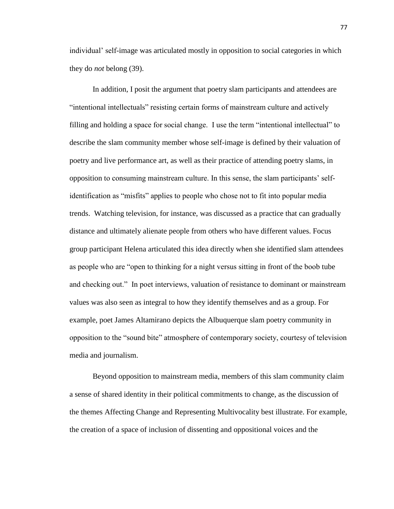individual' self-image was articulated mostly in opposition to social categories in which they do *not* belong (39).

In addition, I posit the argument that poetry slam participants and attendees are "intentional intellectuals" resisting certain forms of mainstream culture and actively filling and holding a space for social change. I use the term "intentional intellectual" to describe the slam community member whose self-image is defined by their valuation of poetry and live performance art, as well as their practice of attending poetry slams, in opposition to consuming mainstream culture. In this sense, the slam participants' selfidentification as "misfits" applies to people who chose not to fit into popular media trends. Watching television, for instance, was discussed as a practice that can gradually distance and ultimately alienate people from others who have different values. Focus group participant Helena articulated this idea directly when she identified slam attendees as people who are "open to thinking for a night versus sitting in front of the boob tube and checking out." In poet interviews, valuation of resistance to dominant or mainstream values was also seen as integral to how they identify themselves and as a group. For example, poet James Altamirano depicts the Albuquerque slam poetry community in opposition to the "sound bite" atmosphere of contemporary society, courtesy of television media and journalism.

Beyond opposition to mainstream media, members of this slam community claim a sense of shared identity in their political commitments to change, as the discussion of the themes Affecting Change and Representing Multivocality best illustrate. For example, the creation of a space of inclusion of dissenting and oppositional voices and the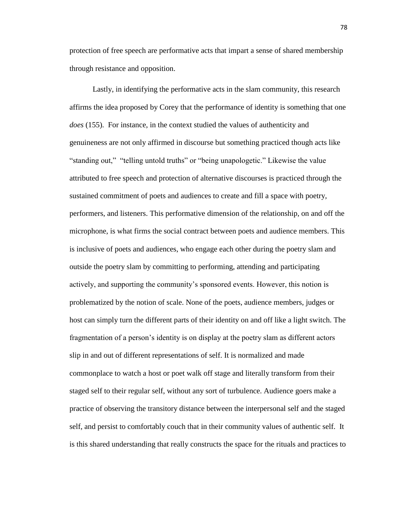protection of free speech are performative acts that impart a sense of shared membership through resistance and opposition.

Lastly, in identifying the performative acts in the slam community, this research affirms the idea proposed by Corey that the performance of identity is something that one *does* (155). For instance, in the context studied the values of authenticity and genuineness are not only affirmed in discourse but something practiced though acts like "standing out," "telling untold truths" or "being unapologetic." Likewise the value attributed to free speech and protection of alternative discourses is practiced through the sustained commitment of poets and audiences to create and fill a space with poetry, performers, and listeners. This performative dimension of the relationship, on and off the microphone, is what firms the social contract between poets and audience members. This is inclusive of poets and audiences, who engage each other during the poetry slam and outside the poetry slam by committing to performing, attending and participating actively, and supporting the community's sponsored events. However, this notion is problematized by the notion of scale. None of the poets, audience members, judges or host can simply turn the different parts of their identity on and off like a light switch. The fragmentation of a person's identity is on display at the poetry slam as different actors slip in and out of different representations of self. It is normalized and made commonplace to watch a host or poet walk off stage and literally transform from their staged self to their regular self, without any sort of turbulence. Audience goers make a practice of observing the transitory distance between the interpersonal self and the staged self, and persist to comfortably couch that in their community values of authentic self. It is this shared understanding that really constructs the space for the rituals and practices to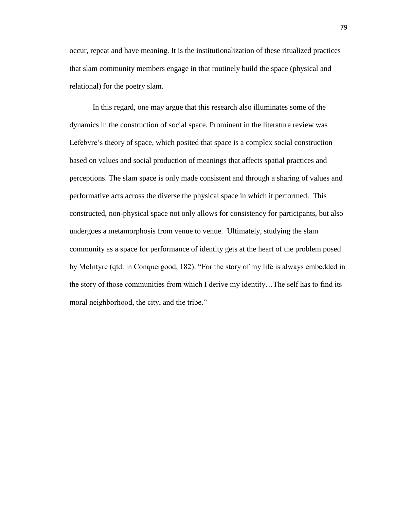occur, repeat and have meaning. It is the institutionalization of these ritualized practices that slam community members engage in that routinely build the space (physical and relational) for the poetry slam.

In this regard, one may argue that this research also illuminates some of the dynamics in the construction of social space. Prominent in the literature review was Lefebvre's theory of space, which posited that space is a complex social construction based on values and social production of meanings that affects spatial practices and perceptions. The slam space is only made consistent and through a sharing of values and performative acts across the diverse the physical space in which it performed. This constructed, non-physical space not only allows for consistency for participants, but also undergoes a metamorphosis from venue to venue. Ultimately, studying the slam community as a space for performance of identity gets at the heart of the problem posed by McIntyre (qtd. in Conquergood, 182): "For the story of my life is always embedded in the story of those communities from which I derive my identity…The self has to find its moral neighborhood, the city, and the tribe."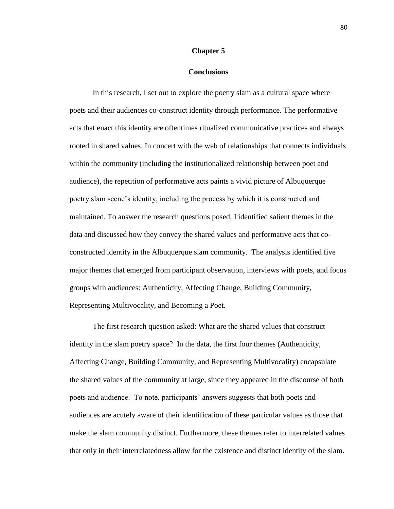#### **Chapter 5**

#### **Conclusions**

In this research, I set out to explore the poetry slam as a cultural space where poets and their audiences co-construct identity through performance. The performative acts that enact this identity are oftentimes ritualized communicative practices and always rooted in shared values. In concert with the web of relationships that connects individuals within the community (including the institutionalized relationship between poet and audience), the repetition of performative acts paints a vivid picture of Albuquerque poetry slam scene's identity, including the process by which it is constructed and maintained. To answer the research questions posed, I identified salient themes in the data and discussed how they convey the shared values and performative acts that coconstructed identity in the Albuquerque slam community. The analysis identified five major themes that emerged from participant observation, interviews with poets, and focus groups with audiences: Authenticity, Affecting Change, Building Community, Representing Multivocality, and Becoming a Poet.

The first research question asked: What are the shared values that construct identity in the slam poetry space? In the data, the first four themes (Authenticity, Affecting Change, Building Community, and Representing Multivocality) encapsulate the shared values of the community at large, since they appeared in the discourse of both poets and audience. To note, participants' answers suggests that both poets and audiences are acutely aware of their identification of these particular values as those that make the slam community distinct. Furthermore, these themes refer to interrelated values that only in their interrelatedness allow for the existence and distinct identity of the slam.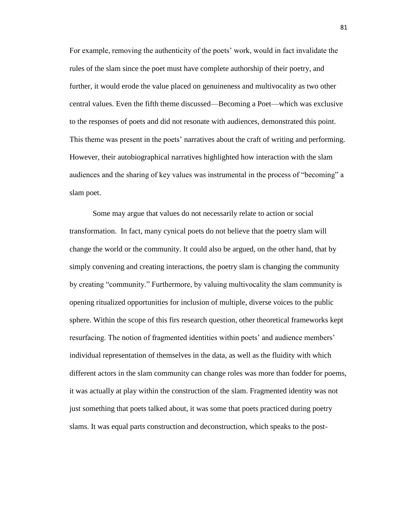For example, removing the authenticity of the poets' work, would in fact invalidate the rules of the slam since the poet must have complete authorship of their poetry, and further, it would erode the value placed on genuineness and multivocality as two other central values. Even the fifth theme discussed—Becoming a Poet—which was exclusive to the responses of poets and did not resonate with audiences, demonstrated this point. This theme was present in the poets' narratives about the craft of writing and performing. However, their autobiographical narratives highlighted how interaction with the slam audiences and the sharing of key values was instrumental in the process of "becoming" a slam poet.

Some may argue that values do not necessarily relate to action or social transformation. In fact, many cynical poets do not believe that the poetry slam will change the world or the community. It could also be argued, on the other hand, that by simply convening and creating interactions, the poetry slam is changing the community by creating "community." Furthermore, by valuing multivocality the slam community is opening ritualized opportunities for inclusion of multiple, diverse voices to the public sphere. Within the scope of this firs research question, other theoretical frameworks kept resurfacing. The notion of fragmented identities within poets' and audience members' individual representation of themselves in the data, as well as the fluidity with which different actors in the slam community can change roles was more than fodder for poems, it was actually at play within the construction of the slam. Fragmented identity was not just something that poets talked about, it was some that poets practiced during poetry slams. It was equal parts construction and deconstruction, which speaks to the post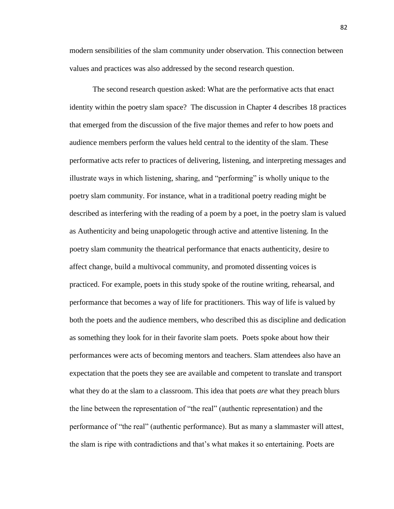modern sensibilities of the slam community under observation. This connection between values and practices was also addressed by the second research question.

The second research question asked: What are the performative acts that enact identity within the poetry slam space? The discussion in Chapter 4 describes 18 practices that emerged from the discussion of the five major themes and refer to how poets and audience members perform the values held central to the identity of the slam. These performative acts refer to practices of delivering, listening, and interpreting messages and illustrate ways in which listening, sharing, and "performing" is wholly unique to the poetry slam community. For instance, what in a traditional poetry reading might be described as interfering with the reading of a poem by a poet, in the poetry slam is valued as Authenticity and being unapologetic through active and attentive listening. In the poetry slam community the theatrical performance that enacts authenticity, desire to affect change, build a multivocal community, and promoted dissenting voices is practiced. For example, poets in this study spoke of the routine writing, rehearsal, and performance that becomes a way of life for practitioners. This way of life is valued by both the poets and the audience members, who described this as discipline and dedication as something they look for in their favorite slam poets. Poets spoke about how their performances were acts of becoming mentors and teachers. Slam attendees also have an expectation that the poets they see are available and competent to translate and transport what they do at the slam to a classroom. This idea that poets *are* what they preach blurs the line between the representation of "the real" (authentic representation) and the performance of "the real" (authentic performance). But as many a slammaster will attest, the slam is ripe with contradictions and that's what makes it so entertaining. Poets are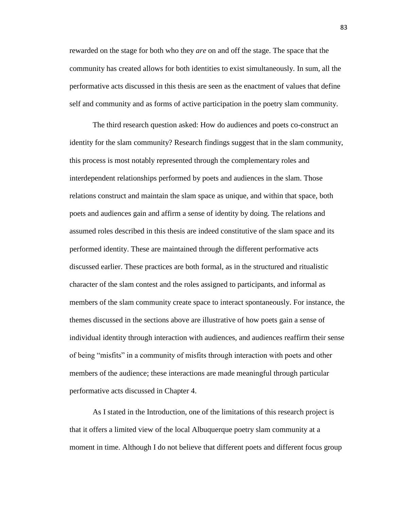rewarded on the stage for both who they *are* on and off the stage. The space that the community has created allows for both identities to exist simultaneously. In sum, all the performative acts discussed in this thesis are seen as the enactment of values that define self and community and as forms of active participation in the poetry slam community.

The third research question asked: How do audiences and poets co-construct an identity for the slam community? Research findings suggest that in the slam community, this process is most notably represented through the complementary roles and interdependent relationships performed by poets and audiences in the slam. Those relations construct and maintain the slam space as unique, and within that space, both poets and audiences gain and affirm a sense of identity by doing. The relations and assumed roles described in this thesis are indeed constitutive of the slam space and its performed identity. These are maintained through the different performative acts discussed earlier. These practices are both formal, as in the structured and ritualistic character of the slam contest and the roles assigned to participants, and informal as members of the slam community create space to interact spontaneously. For instance, the themes discussed in the sections above are illustrative of how poets gain a sense of individual identity through interaction with audiences, and audiences reaffirm their sense of being "misfits" in a community of misfits through interaction with poets and other members of the audience; these interactions are made meaningful through particular performative acts discussed in Chapter 4.

As I stated in the Introduction, one of the limitations of this research project is that it offers a limited view of the local Albuquerque poetry slam community at a moment in time. Although I do not believe that different poets and different focus group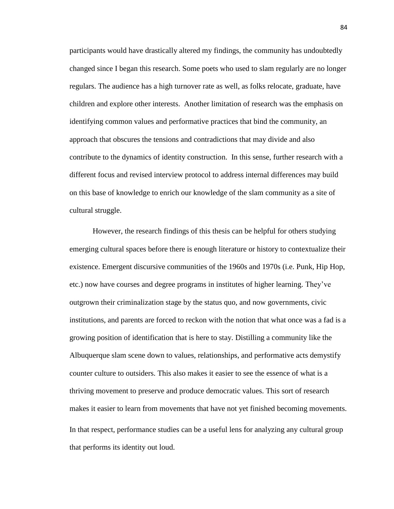participants would have drastically altered my findings, the community has undoubtedly changed since I began this research. Some poets who used to slam regularly are no longer regulars. The audience has a high turnover rate as well, as folks relocate, graduate, have children and explore other interests. Another limitation of research was the emphasis on identifying common values and performative practices that bind the community, an approach that obscures the tensions and contradictions that may divide and also contribute to the dynamics of identity construction. In this sense, further research with a different focus and revised interview protocol to address internal differences may build on this base of knowledge to enrich our knowledge of the slam community as a site of cultural struggle.

However, the research findings of this thesis can be helpful for others studying emerging cultural spaces before there is enough literature or history to contextualize their existence. Emergent discursive communities of the 1960s and 1970s (i.e. Punk, Hip Hop, etc.) now have courses and degree programs in institutes of higher learning. They've outgrown their criminalization stage by the status quo, and now governments, civic institutions, and parents are forced to reckon with the notion that what once was a fad is a growing position of identification that is here to stay. Distilling a community like the Albuquerque slam scene down to values, relationships, and performative acts demystify counter culture to outsiders. This also makes it easier to see the essence of what is a thriving movement to preserve and produce democratic values. This sort of research makes it easier to learn from movements that have not yet finished becoming movements. In that respect, performance studies can be a useful lens for analyzing any cultural group that performs its identity out loud.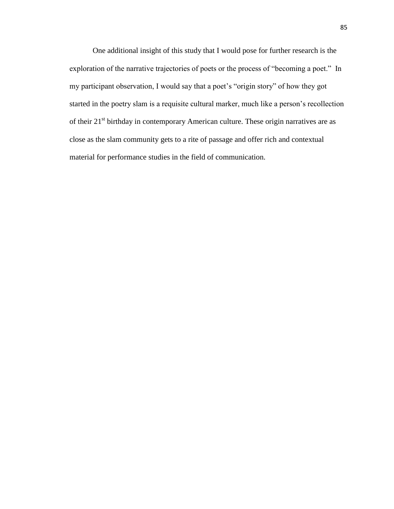One additional insight of this study that I would pose for further research is the exploration of the narrative trajectories of poets or the process of "becoming a poet." In my participant observation, I would say that a poet's "origin story" of how they got started in the poetry slam is a requisite cultural marker, much like a person's recollection of their 21<sup>st</sup> birthday in contemporary American culture. These origin narratives are as close as the slam community gets to a rite of passage and offer rich and contextual material for performance studies in the field of communication.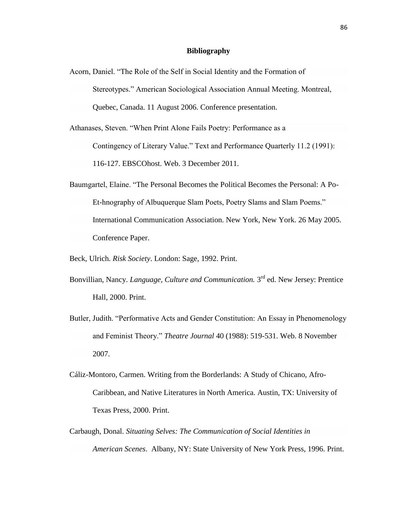## **Bibliography**

Acorn, Daniel. "The Role of the Self in Social Identity and the Formation of Stereotypes." American Sociological Association Annual Meeting. Montreal, Quebec, Canada. 11 August 2006. Conference presentation.

Athanases, Steven. "When Print Alone Fails Poetry: Performance as a Contingency of Literary Value." Text and Performance Quarterly 11.2 (1991): 116-127. EBSCOhost. Web. 3 December 2011.

- Baumgartel, Elaine. "The Personal Becomes the Political Becomes the Personal: A Po-Et-hnography of Albuquerque Slam Poets, Poetry Slams and Slam Poems." International Communication Association. New York, New York. 26 May 2005. Conference Paper.
- Beck, Ulrich. *Risk Society*. London: Sage, 1992. Print.
- Bonvillian, Nancy. *Language, Culture and Communication*. 3<sup>rd</sup> ed. New Jersey: Prentice Hall, 2000. Print.
- Butler, Judith. "Performative Acts and Gender Constitution: An Essay in Phenomenology and Feminist Theory." *Theatre Journal* 40 (1988): 519-531. Web. 8 November 2007.
- Cáliz-Montoro, Carmen. Writing from the Borderlands: A Study of Chicano, Afro-Caribbean, and Native Literatures in North America. Austin, TX: University of Texas Press, 2000. Print.
- Carbaugh, Donal. *Situating Selves: The Communication of Social Identities in American Scenes*. Albany, NY: State University of New York Press, 1996. Print.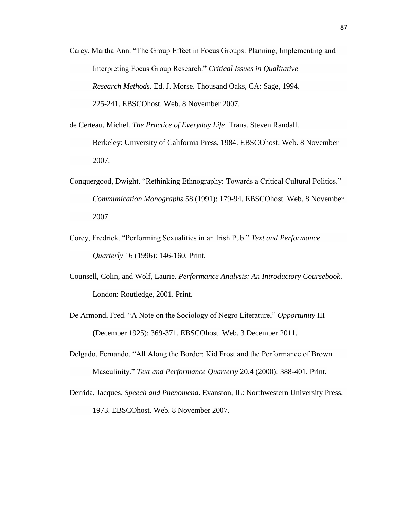- Carey, Martha Ann. "The Group Effect in Focus Groups: Planning, Implementing and Interpreting Focus Group Research." *Critical Issues in Qualitative Research Methods*. Ed. J. Morse. Thousand Oaks, CA: Sage, 1994. 225-241. EBSCOhost. Web. 8 November 2007.
- de Certeau, Michel. *The Practice of Everyday Life*. Trans. Steven Randall. Berkeley: University of California Press, 1984. EBSCOhost. Web. 8 November 2007.
- Conquergood, Dwight. "Rethinking Ethnography: Towards a Critical Cultural Politics." *Communication Monographs* 58 (1991): 179-94. EBSCOhost. Web. 8 November 2007.
- Corey, Fredrick. "Performing Sexualities in an Irish Pub." *Text and Performance Quarterly* 16 (1996): 146-160. Print.
- Counsell, Colin, and Wolf, Laurie. *Performance Analysis: An Introductory Coursebook*. London: Routledge, 2001. Print.
- De Armond, Fred. "A Note on the Sociology of Negro Literature," *Opportunity* III (December 1925): 369-371. EBSCOhost. Web. 3 December 2011.
- Delgado, Fernando. "All Along the Border: Kid Frost and the Performance of Brown Masculinity." *Text and Performance Quarterly* 20.4 (2000): 388-401. Print.
- Derrida, Jacques. *Speech and Phenomena*. Evanston, IL: Northwestern University Press, 1973. EBSCOhost. Web. 8 November 2007.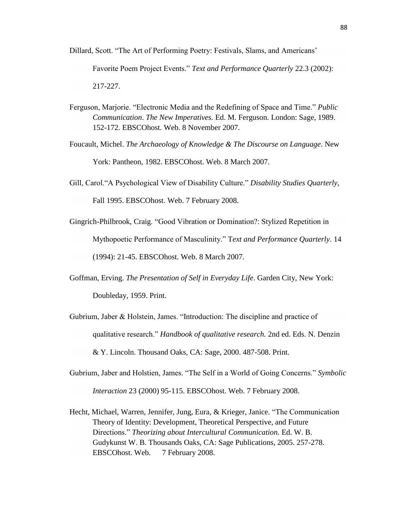Dillard, Scott. "The Art of Performing Poetry: Festivals, Slams, and Americans'

Favorite Poem Project Events." *Text and Performance Quarterly* 22.3 (2002): 217-227.

- Ferguson, Marjorie. "Electronic Media and the Redefining of Space and Time." *Public Communication*. *The New Imperatives.* Ed. M. Ferguson. London: Sage, 1989. 152-172. EBSCOhost. Web. 8 November 2007.
- Foucault, Michel. *The Archaeology of Knowledge & The Discourse on Language*. New York: Pantheon, 1982. EBSCOhost. Web. 8 March 2007.
- Gill, Carol."A Psychological View of Disability Culture." *Disability Studies Quarterly*, Fall 1995. EBSCOhost. Web. 7 February 2008.
- Gingrich-Philbrook, Craig. "Good Vibration or Domination?: Stylized Repetition in Mythopoetic Performance of Masculinity." T*ext and Performance Quarterly*. 14 (1994): 21-45. EBSCOhost. Web. 8 March 2007.
- Goffman, Erving. *The Presentation of Self in Everyday Life*. Garden City, New York: Doubleday, 1959. Print.
- Gubrium, Jaber & Holstein, James. "Introduction: The discipline and practice of qualitative research." *Handbook of qualitative research.* 2nd ed. Eds. N. Denzin & Y. Lincoln. Thousand Oaks, CA: Sage, 2000. 487-508. Print.
- Gubrium, Jaber and Holstien, James. "The Self in a World of Going Concerns." *Symbolic Interaction* 23 (2000) 95-115. EBSCOhost. Web. 7 February 2008.
- Hecht, Michael, Warren, Jennifer, Jung, Eura, & Krieger, Janice. "The Communication Theory of Identity: Development, Theoretical Perspective, and Future Directions." *Theorizing about Intercultural Communication.* Ed. W. B. Gudykunst W. B. Thousands Oaks, CA: Sage Publications, 2005. 257-278. EBSCOhost. Web. 7 February 2008.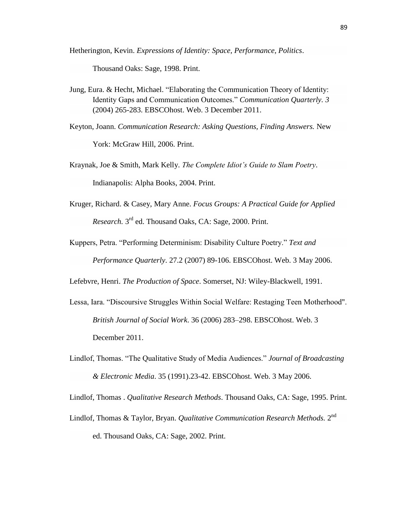Hetherington, Kevin. *Expressions of Identity: Space, Performance, Politics*.

Thousand Oaks: Sage, 1998. Print.

- Jung, Eura. & Hecht, Michael. "Elaborating the Communication Theory of Identity: Identity Gaps and Communication Outcomes." *Communication Quarterly. 3*  (2004) 265-283. EBSCOhost. Web. 3 December 2011.
- Keyton, Joann. *Communication Research: Asking Questions, Finding Answers.* New York: McGraw Hill, 2006. Print.
- Kraynak, Joe & Smith, Mark Kelly. *The Complete Idiot's Guide to Slam Poetry*. Indianapolis: Alpha Books, 2004. Print.
- Kruger, Richard. & Casey, Mary Anne. *Focus Groups: A Practical Guide for Applied*  Research. 3<sup>rd</sup> ed. Thousand Oaks, CA: Sage, 2000. Print.
- Kuppers, Petra. "Performing Determinism: Disability Culture Poetry." *Text and Performance Quarterly*. 27.2 (2007) 89-106. EBSCOhost. Web. 3 May 2006.

Lefebvre, Henri. *The Production of Space*. Somerset, NJ: Wiley-Blackwell, 1991.

- Lessa, Iara. "Discoursive Struggles Within Social Welfare: Restaging Teen Motherhood". *[British Journal of Social Work](http://en.wikipedia.org/w/index.php?title=british_journal_of_social_work&action=edit&redlink=1)*. 36 (2006) 283–298. EBSCOhost. Web. 3 December 2011.
- Lindlof, Thomas. "The Qualitative Study of Media Audiences." *Journal of Broadcasting & Electronic Media*. 35 (1991).23-42. EBSCOhost. Web. 3 May 2006.

Lindlof, Thomas . *Qualitative Research Methods*. Thousand Oaks, CA: Sage, 1995. Print.

Lindlof, Thomas & Taylor, Bryan. *Qualitative Communication Research Methods*. 2<sup>nd</sup> ed. Thousand Oaks, CA: Sage, 2002. Print.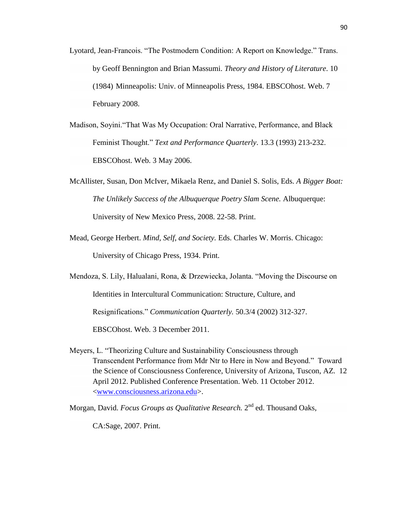- Lyotard, Jean-Francois. "The Postmodern Condition: A Report on Knowledge." Trans. by Geoff Bennington and Brian Massumi. *Theory and History of Literature*. 10 (1984) Minneapolis: Univ. of Minneapolis Press, 1984. EBSCOhost. Web. 7 February 2008.
- Madison, Soyini."That Was My Occupation: Oral Narrative, Performance, and Black Feminist Thought." *Text and Performance Quarterly*. 13.3 (1993) 213-232. EBSCOhost. Web. 3 May 2006.
- McAllister, Susan, Don McIver, Mikaela Renz, and Daniel S. Solis, Eds. *A Bigger Boat: The Unlikely Success of the Albuquerque Poetry Slam Scene.* Albuquerque: University of New Mexico Press, 2008. 22-58. Print.
- Mead, George Herbert. *Mind, Self, and Society.* Eds. Charles W. Morris. Chicago: University of Chicago Press, 1934. Print.
- Mendoza, S. Lily, Halualani, Rona, & Drzewiecka, Jolanta. "Moving the Discourse on Identities in Intercultural Communication: Structure, Culture, and Resignifications." *Communication Quarterly.* 50.3/4 (2002) 312-327. EBSCOhost. Web. 3 December 2011.
- Meyers, L. "Theorizing Culture and Sustainability Consciousness through Transcendent Performance from Mdr Ntr to Here in Now and Beyond." Toward the Science of Consciousness Conference, University of Arizona, Tuscon, AZ. 12 April 2012. Published Conference Presentation. Web. 11 October 2012. [<www.consciousness.arizona.edu>](http://www.consciousness.arizona.edu/).
- Morgan, David. *Focus Groups as Qualitative Research*. 2<sup>nd</sup> ed. Thousand Oaks,

CA:Sage, 2007. Print.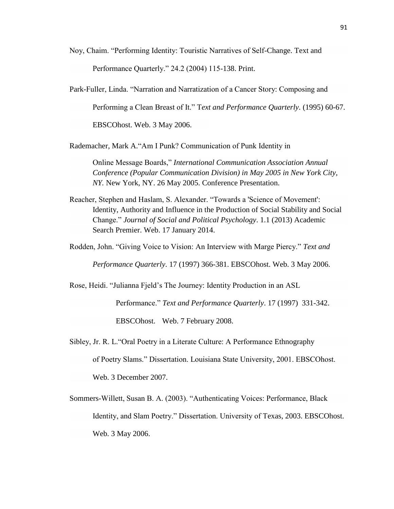Noy, Chaim. "Performing Identity: Touristic Narratives of Self-Change. Text and

Performance Quarterly." 24.2 (2004) 115-138. Print.

Park-Fuller, Linda. "Narration and Narratization of a Cancer Story: Composing and Performing a Clean Breast of It." T*ext and Performance Quarterly*. (1995) 60-67. EBSCOhost. Web. 3 May 2006.

Rademacher, Mark A."Am I Punk? Communication of Punk Identity in

Online Message Boards," *International Communication Association Annual Conference (Popular Communication Division) in May 2005 in New York City, NY.* New York, NY. 26 May 2005. Conference Presentation.

Reacher, Stephen and Haslam, S. Alexander. "Towards a 'Science of Movement': Identity, Authority and Influence in the Production of Social Stability and Social Change." *Journal of Social and Political Psychology*. 1.1 (2013) Academic Search Premier. Web. 17 January 2014.

Rodden, John. "Giving Voice to Vision: An Interview with Marge Piercy." *Text and* 

*Performance Quarterly*. 17 (1997) 366-381. EBSCOhost. Web. 3 May 2006.

Rose, Heidi. "Julianna Fjeld's The Journey: Identity Production in an ASL

Performance." *Text and Performance Quarterly*. 17 (1997) 331-342.

EBSCOhost. Web. 7 February 2008.

- Sibley, Jr. R. L."Oral Poetry in a Literate Culture: A Performance Ethnography of Poetry Slams." Dissertation. Louisiana State University, 2001. EBSCOhost. Web. 3 December 2007.
- Sommers-Willett, Susan B. A. (2003). "Authenticating Voices: Performance, Black Identity, and Slam Poetry." Dissertation. University of Texas, 2003. EBSCOhost. Web. 3 May 2006.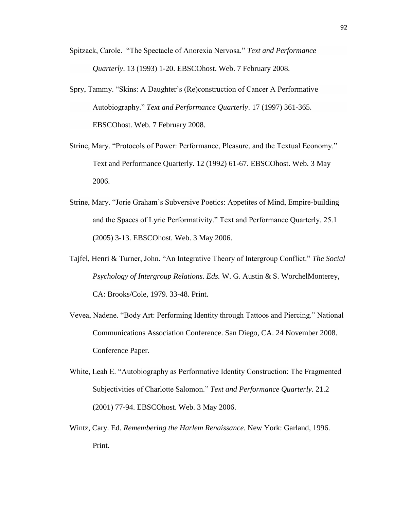- Spitzack, Carole. "The Spectacle of Anorexia Nervosa." *Text and Performance Quarterly*. 13 (1993) 1-20. EBSCOhost. Web. 7 February 2008.
- Spry, Tammy. "Skins: A Daughter's (Re)construction of Cancer A Performative Autobiography." *Text and Performance Quarterly*. 17 (1997) 361-365. EBSCOhost. Web. 7 February 2008.
- Strine, Mary. "Protocols of Power: Performance, Pleasure, and the Textual Economy." Text and Performance Quarterly. 12 (1992) 61-67. EBSCOhost. Web. 3 May 2006.
- Strine, Mary. "Jorie Graham's Subversive Poetics: Appetites of Mind, Empire-building and the Spaces of Lyric Performativity." Text and Performance Quarterly. 25.1 (2005) 3-13. EBSCOhost. Web. 3 May 2006.
- Tajfel, Henri & Turner, John. "An Integrative Theory of Intergroup Conflict." *The Social Psychology of Intergroup Relations. Eds.* W. G. Austin & S. WorchelMonterey, CA: Brooks/Cole, 1979. 33-48. Print.
- Vevea, Nadene. "Body Art: Performing Identity through Tattoos and Piercing." National Communications Association Conference. San Diego, CA. 24 November 2008. Conference Paper.
- White, Leah E. "Autobiography as Performative Identity Construction: The Fragmented Subjectivities of Charlotte Salomon." *Text and Performance Quarterly*. 21.2 (2001) 77-94. EBSCOhost. Web. 3 May 2006.
- Wintz, Cary. Ed. *Remembering the Harlem Renaissance*. New York: Garland, 1996. Print.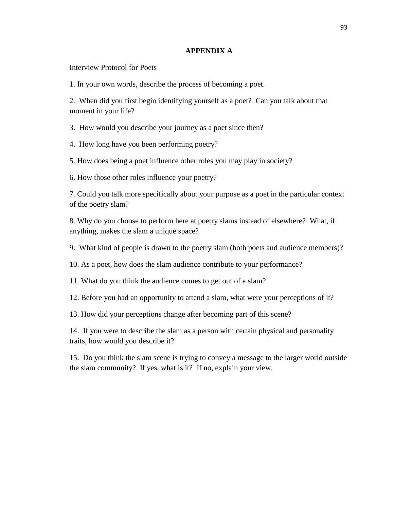## **APPENDIX A**

Interview Protocol for Poets

1. In your own words, describe the process of becoming a poet.

2. When did you first begin identifying yourself as a poet? Can you talk about that moment in your life?

3. How would you describe your journey as a poet since then?

4. How long have you been performing poetry?

5. How does being a poet influence other roles you may play in society?

6. How those other roles influence your poetry?

7. Could you talk more specifically about your purpose as a poet in the particular context of the poetry slam?

8. Why do you choose to perform here at poetry slams instead of elsewhere? What, if anything, makes the slam a unique space?

9. What kind of people is drawn to the poetry slam (both poets and audience members)?

10. As a poet, how does the slam audience contribute to your performance?

11. What do you think the audience comes to get out of a slam?

12. Before you had an opportunity to attend a slam, what were your perceptions of it?

13. How did your perceptions change after becoming part of this scene?

14. If you were to describe the slam as a person with certain physical and personality traits, how would you describe it?

15. Do you think the slam scene is trying to convey a message to the larger world outside the slam community? If yes, what is it? If no, explain your view.